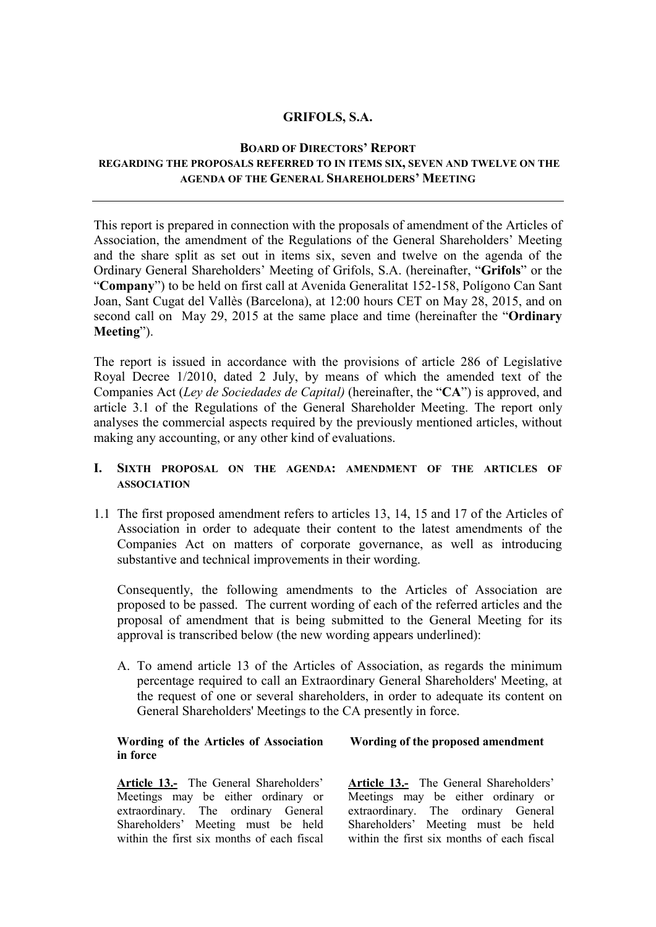#### **GRIFOLS, S.A.**

#### **BOARD OF DIRECTORS' REPORT**

## **REGARDING THE PROPOSALS REFERRED TO IN ITEMS SIX, SEVEN AND TWELVE ON THE AGENDA OF THE GENERAL SHAREHOLDERS' MEETING**

This report is prepared in connection with the proposals of amendment of the Articles of Association, the amendment of the Regulations of the General Shareholders' Meeting and the share split as set out in items six, seven and twelve on the agenda of the Ordinary General Shareholders' Meeting of Grifols, S.A. (hereinafter, "**Grifols**" or the "**Company**") to be held on first call at Avenida Generalitat 152-158, Polígono Can Sant Joan, Sant Cugat del Vallès (Barcelona), at 12:00 hours CET on May 28, 2015, and on second call on May 29, 2015 at the same place and time (hereinafter the "**Ordinary Meeting**").

The report is issued in accordance with the provisions of article 286 of Legislative Royal Decree 1/2010, dated 2 July, by means of which the amended text of the Companies Act (*Ley de Sociedades de Capital)* (hereinafter, the "**CA**") is approved, and article 3.1 of the Regulations of the General Shareholder Meeting. The report only analyses the commercial aspects required by the previously mentioned articles, without making any accounting, or any other kind of evaluations.

## **I. SIXTH PROPOSAL ON THE AGENDA: AMENDMENT OF THE ARTICLES OF ASSOCIATION**

1.1 The first proposed amendment refers to articles 13, 14, 15 and 17 of the Articles of Association in order to adequate their content to the latest amendments of the Companies Act on matters of corporate governance, as well as introducing substantive and technical improvements in their wording.

Consequently, the following amendments to the Articles of Association are proposed to be passed. The current wording of each of the referred articles and the proposal of amendment that is being submitted to the General Meeting for its approval is transcribed below (the new wording appears underlined):

A. To amend article 13 of the Articles of Association, as regards the minimum percentage required to call an Extraordinary General Shareholders' Meeting, at the request of one or several shareholders, in order to adequate its content on General Shareholders' Meetings to the CA presently in force.

#### **Wording of the Articles of Association in force Wording of the proposed amendment**

**Article 13.-** The General Shareholders' Meetings may be either ordinary or extraordinary. The ordinary General Shareholders' Meeting must be held within the first six months of each fiscal **Article 13.-** The General Shareholders' Meetings may be either ordinary or extraordinary. The ordinary General Shareholders' Meeting must be held within the first six months of each fiscal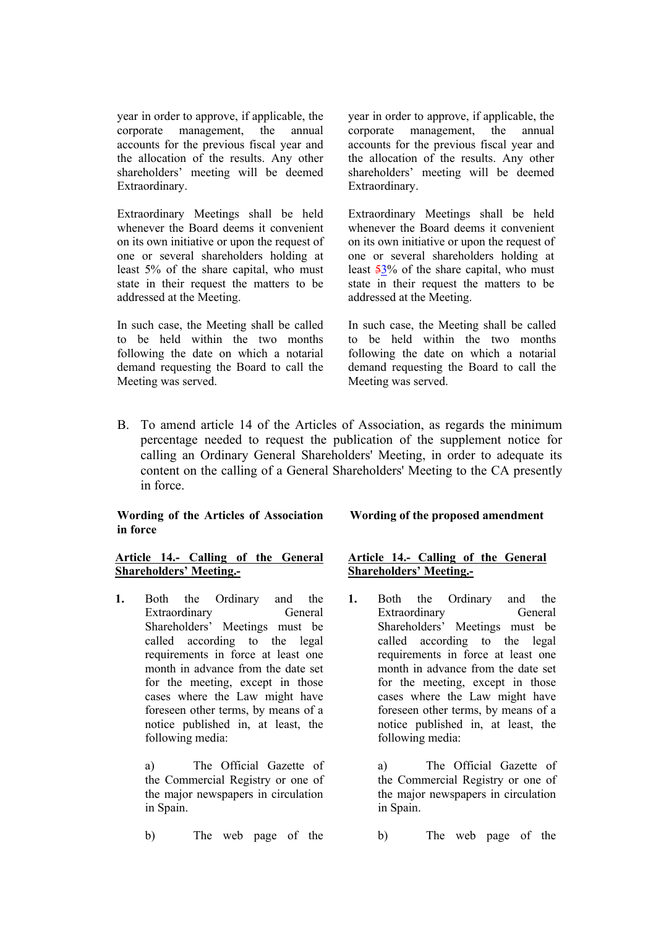year in order to approve, if applicable, the corporate management, the annual accounts for the previous fiscal year and the allocation of the results. Any other shareholders' meeting will be deemed Extraordinary.

Extraordinary Meetings shall be held whenever the Board deems it convenient on its own initiative or upon the request of one or several shareholders holding at least 5% of the share capital, who must state in their request the matters to be addressed at the Meeting.

In such case, the Meeting shall be called to be held within the two months following the date on which a notarial demand requesting the Board to call the Meeting was served.

year in order to approve, if applicable, the corporate management, the annual accounts for the previous fiscal year and the allocation of the results. Any other shareholders' meeting will be deemed Extraordinary.

Extraordinary Meetings shall be held whenever the Board deems it convenient on its own initiative or upon the request of one or several shareholders holding at least 53% of the share capital, who must state in their request the matters to be addressed at the Meeting.

In such case, the Meeting shall be called to be held within the two months following the date on which a notarial demand requesting the Board to call the Meeting was served.

B. To amend article 14 of the Articles of Association, as regards the minimum percentage needed to request the publication of the supplement notice for calling an Ordinary General Shareholders' Meeting, in order to adequate its content on the calling of a General Shareholders' Meeting to the CA presently in force.

#### **Wording of the Articles of Association in force**

#### **Article 14.- Calling of the General Shareholders' Meeting.-**

**1.** Both the Ordinary and the Extraordinary General Shareholders' Meetings must be called according to the legal requirements in force at least one month in advance from the date set for the meeting, except in those cases where the Law might have foreseen other terms, by means of a notice published in, at least, the following media:

> a) The Official Gazette of the Commercial Registry or one of the major newspapers in circulation in Spain.

b) The web page of the

#### **Wording of the proposed amendment**

#### **Article 14.- Calling of the General Shareholders' Meeting.-**

**1.** Both the Ordinary and the Extraordinary General Shareholders' Meetings must be called according to the legal requirements in force at least one month in advance from the date set for the meeting, except in those cases where the Law might have foreseen other terms, by means of a notice published in, at least, the following media:

> a) The Official Gazette of the Commercial Registry or one of the major newspapers in circulation in Spain.

> b) The web page of the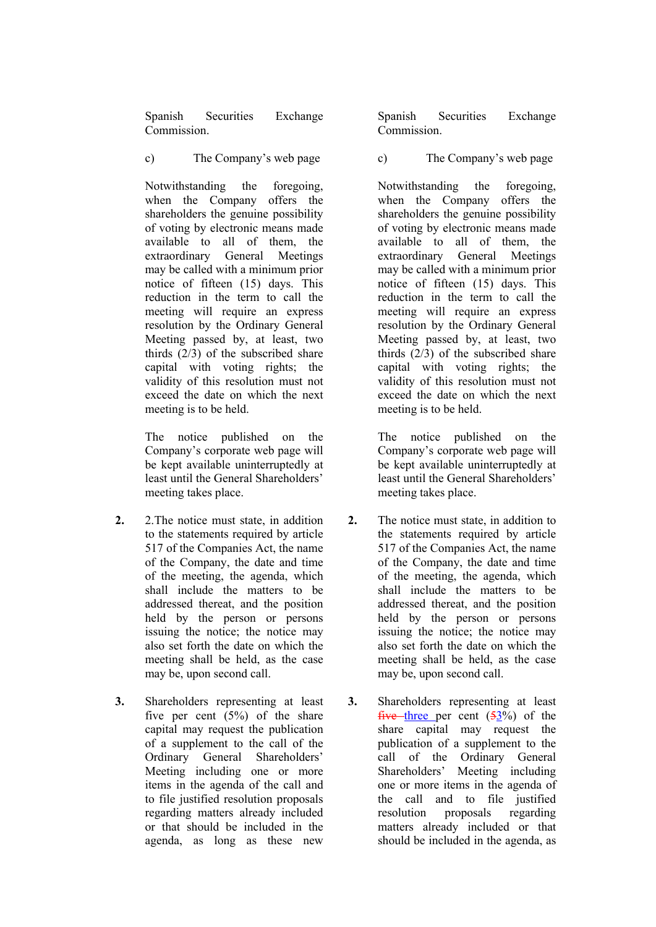Spanish Securities Exchange **Commission** 

c) The Company's web page

Notwithstanding the foregoing, when the Company offers the shareholders the genuine possibility of voting by electronic means made available to all of them, the extraordinary General Meetings may be called with a minimum prior notice of fifteen (15) days. This reduction in the term to call the meeting will require an express resolution by the Ordinary General Meeting passed by, at least, two thirds (2/3) of the subscribed share capital with voting rights; the validity of this resolution must not exceed the date on which the next meeting is to be held.

The notice published on the Company's corporate web page will be kept available uninterruptedly at least until the General Shareholders' meeting takes place.

- **2.** 2.The notice must state, in addition to the statements required by article 517 of the Companies Act, the name of the Company, the date and time of the meeting, the agenda, which shall include the matters to be addressed thereat, and the position held by the person or persons issuing the notice; the notice may also set forth the date on which the meeting shall be held, as the case may be, upon second call.
- **3.** Shareholders representing at least five per cent  $(5\%)$  of the share capital may request the publication of a supplement to the call of the Ordinary General Shareholders' Meeting including one or more items in the agenda of the call and to file justified resolution proposals regarding matters already included or that should be included in the agenda, as long as these new

Spanish Securities Exchange **Commission** 

c) The Company's web page

Notwithstanding the foregoing, when the Company offers the shareholders the genuine possibility of voting by electronic means made available to all of them, the extraordinary General Meetings may be called with a minimum prior notice of fifteen (15) days. This reduction in the term to call the meeting will require an express resolution by the Ordinary General Meeting passed by, at least, two thirds (2/3) of the subscribed share capital with voting rights; the validity of this resolution must not exceed the date on which the next meeting is to be held.

The notice published on the Company's corporate web page will be kept available uninterruptedly at least until the General Shareholders' meeting takes place.

- **2.** The notice must state, in addition to the statements required by article 517 of the Companies Act, the name of the Company, the date and time of the meeting, the agenda, which shall include the matters to be addressed thereat, and the position held by the person or persons issuing the notice; the notice may also set forth the date on which the meeting shall be held, as the case may be, upon second call.
- **3.** Shareholders representing at least five three per cent  $(53\%)$  of the share capital may request the publication of a supplement to the call of the Ordinary General Shareholders' Meeting including one or more items in the agenda of the call and to file justified resolution proposals regarding matters already included or that should be included in the agenda, as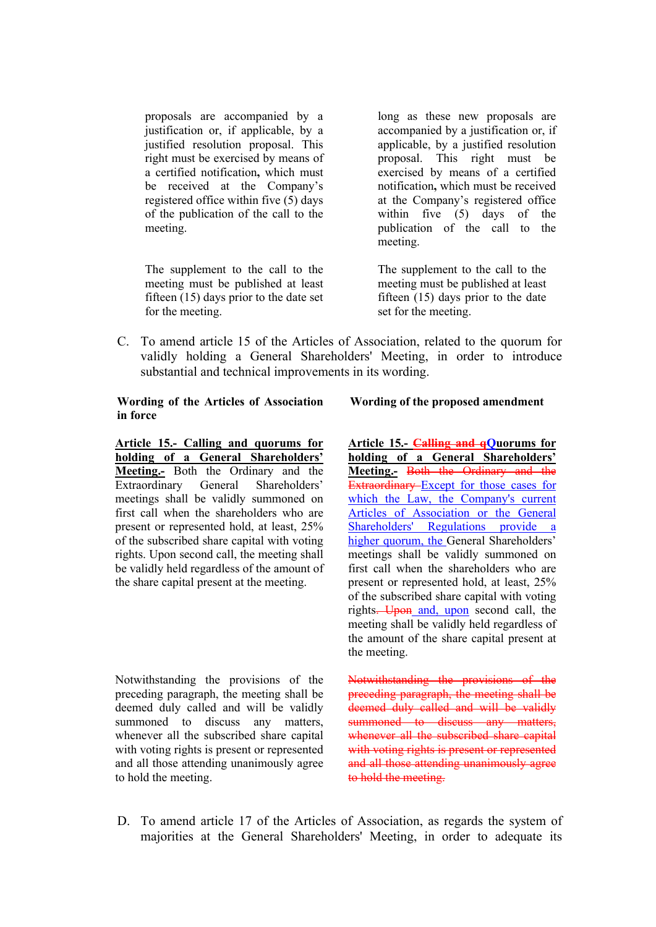proposals are accompanied by a justification or, if applicable, by a justified resolution proposal. This right must be exercised by means of a certified notification**,** which must be received at the Company's registered office within five (5) days of the publication of the call to the meeting.

The supplement to the call to the meeting must be published at least fifteen (15) days prior to the date set for the meeting.

long as these new proposals are accompanied by a justification or, if applicable, by a justified resolution proposal. This right must be exercised by means of a certified notification**,** which must be received at the Company's registered office within five (5) days of the publication of the call to the meeting.

The supplement to the call to the meeting must be published at least fifteen (15) days prior to the date set for the meeting.

C. To amend article 15 of the Articles of Association, related to the quorum for validly holding a General Shareholders' Meeting, in order to introduce substantial and technical improvements in its wording.

#### **Wording of the Articles of Association in force**

**Article 15.- Calling and quorums for holding of a General Shareholders' Meeting.-** Both the Ordinary and the Extraordinary General Shareholders' meetings shall be validly summoned on first call when the shareholders who are present or represented hold, at least, 25% of the subscribed share capital with voting rights. Upon second call, the meeting shall be validly held regardless of the amount of the share capital present at the meeting.

Notwithstanding the provisions of the preceding paragraph, the meeting shall be deemed duly called and will be validly summoned to discuss any matters. whenever all the subscribed share capital with voting rights is present or represented and all those attending unanimously agree to hold the meeting.

#### **Wording of the proposed amendment**

**Article 15.- Calling and qQuorums for holding of a General Shareholders' Meeting.-** Both the Ordinary and the Extraordinary Except for those cases for which the Law, the Company's current Articles of Association or the General Shareholders' Regulations provide a higher quorum, the General Shareholders' meetings shall be validly summoned on first call when the shareholders who are present or represented hold, at least, 25% of the subscribed share capital with voting rights. Upon and, upon second call, the meeting shall be validly held regardless of the amount of the share capital present at the meeting.

Notwithstanding the provisions of the preceding paragraph, the meeting shall be deemed duly called and will be validly summoned to discuss any matters, summoned to discuss any matters,<br>whenever all the subscribed share capital with voting rights is present or represented and all those attending unanimously agree to hold the meeting.

D. To amend article 17 of the Articles of Association, as regards the system of majorities at the General Shareholders' Meeting, in order to adequate its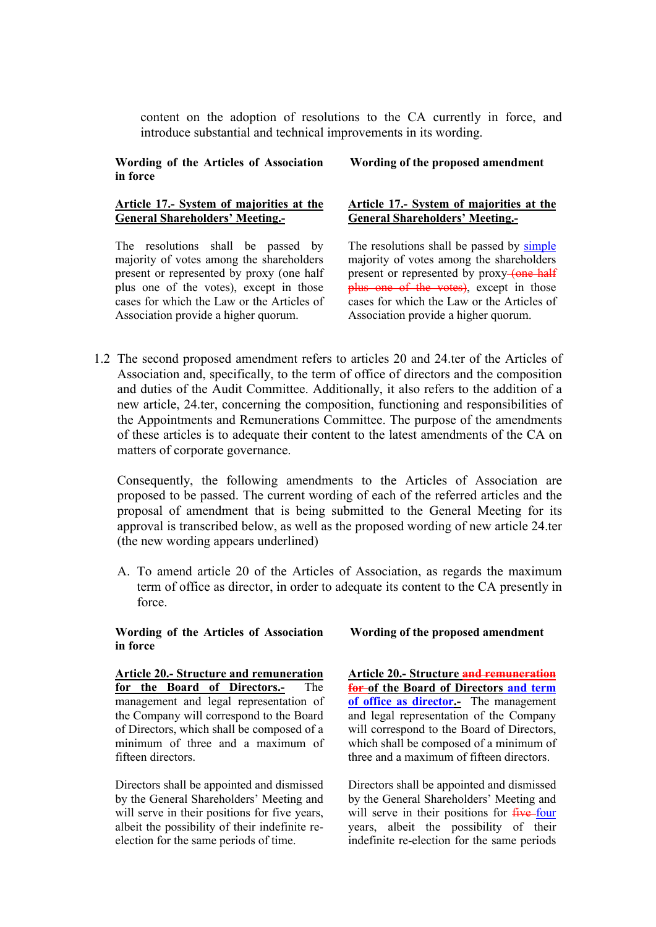content on the adoption of resolutions to the CA currently in force, and introduce substantial and technical improvements in its wording.

**Wording of the Articles of Association in force**

#### **Article 17.- System of majorities at the General Shareholders' Meeting.-**

The resolutions shall be passed by majority of votes among the shareholders present or represented by proxy (one half plus one of the votes), except in those cases for which the Law or the Articles of Association provide a higher quorum.

**Wording of the proposed amendment**

#### **Article 17.- System of majorities at the General Shareholders' Meeting.-**

The resolutions shall be passed by simple majority of votes among the shareholders present or represented by proxy-tone half plus one of the votes), except in those cases for which the Law or the Articles of Association provide a higher quorum.

1.2 The second proposed amendment refers to articles 20 and 24.ter of the Articles of Association and, specifically, to the term of office of directors and the composition and duties of the Audit Committee. Additionally, it also refers to the addition of a new article, 24.ter, concerning the composition, functioning and responsibilities of the Appointments and Remunerations Committee. The purpose of the amendments of these articles is to adequate their content to the latest amendments of the CA on matters of corporate governance.

Consequently, the following amendments to the Articles of Association are proposed to be passed. The current wording of each of the referred articles and the proposal of amendment that is being submitted to the General Meeting for its approval is transcribed below, as well as the proposed wording of new article 24.ter (the new wording appears underlined)

A. To amend article 20 of the Articles of Association, as regards the maximum term of office as director, in order to adequate its content to the CA presently in force.

**Wording of the Articles of Association in force** 

# **Wording of the proposed amendment**

**Article 20.- Structure and remuneration for the Board of Directors.-** The management and legal representation of the Company will correspond to the Board of Directors, which shall be composed of a minimum of three and a maximum of fifteen directors.

Directors shall be appointed and dismissed by the General Shareholders' Meeting and will serve in their positions for five years, albeit the possibility of their indefinite reelection for the same periods of time.

**Article 20.- Structure and remuneration for of the Board of Directors and term**  of office as director.- The management and legal representation of the Company will correspond to the Board of Directors. which shall be composed of a minimum of three and a maximum of fifteen directors.

Directors shall be appointed and dismissed by the General Shareholders' Meeting and will serve in their positions for five-four years, albeit the possibility of their indefinite re-election for the same periods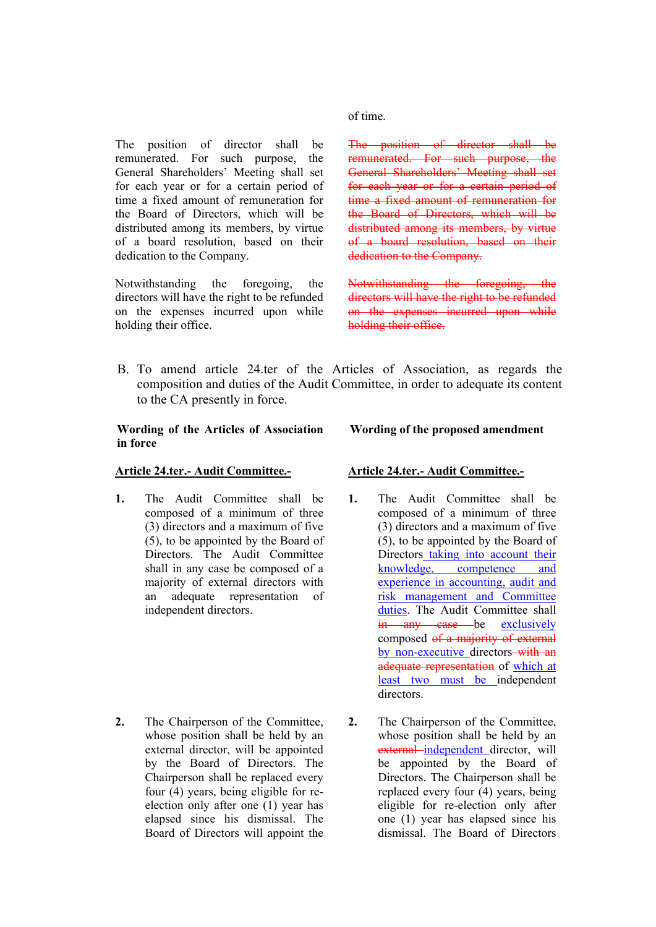The position of director shall be remunerated. For such purpose, the General Shareholders' Meeting shall set for each year or for a certain period of time a fixed amount of remuneration for the Board of Directors, which will be distributed among its members, by virtue of a board resolution, based on their dedication to the Company.

Notwithstanding the foregoing, the directors will have the right to be refunded on the expenses incurred upon while holding their office.

of time.

The position of director shall be remunerated. For such purpose, the General Shareholders' Meeting shall set for each year or for a certain period of time a fixed amount of remuneration for the Board of Directors, which will be distributed among its members, by virtue of a board resolution, based on their dedication to the Company.

Notwithstanding the foregoing, the directors will have the right to be refunded on the expenses incurred upon while holding their office.

B. To amend article 24.ter of the Articles of Association, as regards the composition and duties of the Audit Committee, in order to adequate its content to the CA presently in force.

#### **Wording of the Articles of Association in force**

#### **Article 24.ter.- Audit Committee.-**

**1.** The Audit Committee shall be composed of a minimum of three (3) directors and a maximum of five (5), to be appointed by the Board of Directors. The Audit Committee shall in any case be composed of a majority of external directors with an adequate representation of independent directors.

**2.** The Chairperson of the Committee, whose position shall be held by an external director, will be appointed by the Board of Directors. The Chairperson shall be replaced every four (4) years, being eligible for reelection only after one (1) year has elapsed since his dismissal. The Board of Directors will appoint the

#### **Article 24.ter.- Audit Committee.-**

**Wording of the proposed amendment**

- **1.** The Audit Committee shall be composed of a minimum of three (3) directors and a maximum of five (5), to be appointed by the Board of Directors taking into account their knowledge, competence and experience in accounting, audit and risk management and Committee duties. The Audit Committee shall in any case be exclusively composed of a majority of external by non-executive directors-with an adequate representation of which at least two must be independent directors.
- **2.** The Chairperson of the Committee, whose position shall be held by an external independent director, will be appointed by the Board of Directors. The Chairperson shall be replaced every four (4) years, being eligible for re-election only after one (1) year has elapsed since his dismissal. The Board of Directors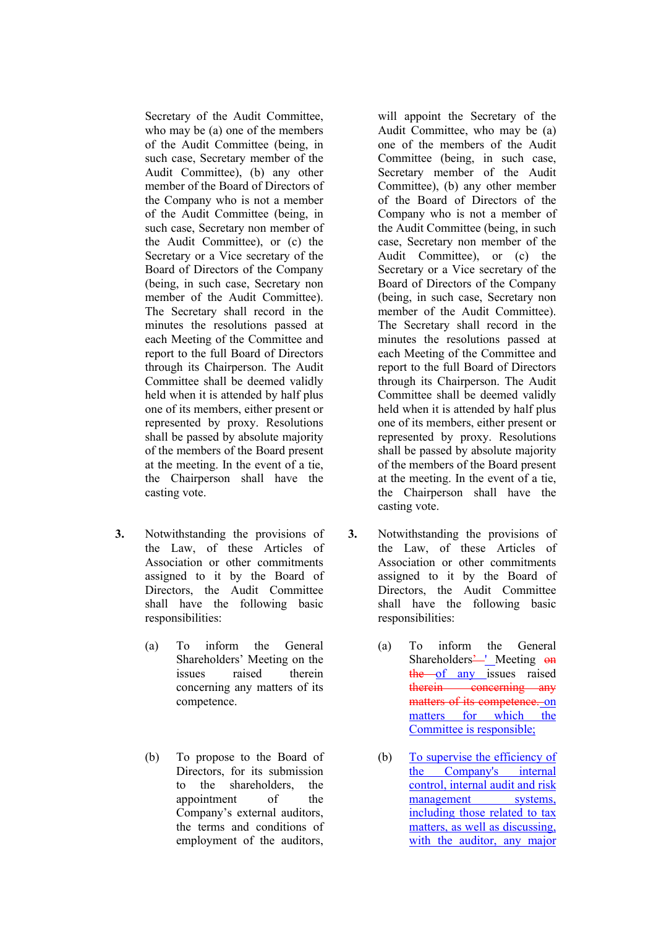Secretary of the Audit Committee, who may be (a) one of the members of the Audit Committee (being, in such case, Secretary member of the Audit Committee), (b) any other member of the Board of Directors of the Company who is not a member of the Audit Committee (being, in such case, Secretary non member of the Audit Committee), or (c) the Secretary or a Vice secretary of the Board of Directors of the Company (being, in such case, Secretary non member of the Audit Committee). The Secretary shall record in the minutes the resolutions passed at each Meeting of the Committee and report to the full Board of Directors through its Chairperson. The Audit Committee shall be deemed validly held when it is attended by half plus one of its members, either present or represented by proxy. Resolutions shall be passed by absolute majority of the members of the Board present at the meeting. In the event of a tie, the Chairperson shall have the casting vote.

- **3.** Notwithstanding the provisions of the Law, of these Articles of Association or other commitments assigned to it by the Board of Directors, the Audit Committee shall have the following basic responsibilities:
	- (a) To inform the General Shareholders' Meeting on the issues raised therein concerning any matters of its competence.
	- (b) To propose to the Board of Directors, for its submission to the shareholders, the appointment of the Company's external auditors, the terms and conditions of employment of the auditors,

will appoint the Secretary of the Audit Committee, who may be (a) one of the members of the Audit Committee (being, in such case, Secretary member of the Audit Committee), (b) any other member of the Board of Directors of the Company who is not a member of the Audit Committee (being, in such case, Secretary non member of the Audit Committee), or (c) the Secretary or a Vice secretary of the Board of Directors of the Company (being, in such case, Secretary non member of the Audit Committee). The Secretary shall record in the minutes the resolutions passed at each Meeting of the Committee and report to the full Board of Directors through its Chairperson. The Audit Committee shall be deemed validly held when it is attended by half plus one of its members, either present or represented by proxy. Resolutions shall be passed by absolute majority of the members of the Board present at the meeting. In the event of a tie, the Chairperson shall have the casting vote.

- **3.** Notwithstanding the provisions of the Law, of these Articles of Association or other commitments assigned to it by the Board of Directors, the Audit Committee shall have the following basic responsibilities:
	- (a) To inform the General Shareholders<sup>2</sup> Meeting on  $\frac{1}{2}$  the of any issues raised therein concerning any matters of its competence. on matters for which the Committee is responsible;
	- (b) To supervise the efficiency of the Company's internal control, internal audit and risk management systems, including those related to tax matters, as well as discussing, with the auditor, any major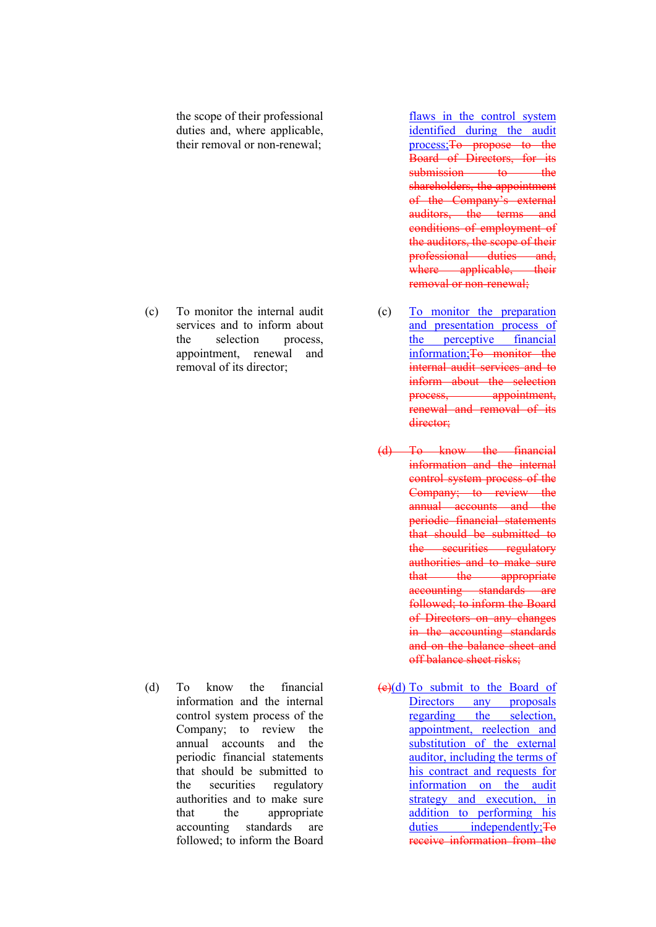the scope of their professional duties and, where applicable, their removal or non-renewal;

(c) To monitor the internal audit services and to inform about the selection process, appointment, renewal and removal of its director;

(d) To know the financial information and the internal control system process of the Company; to review the annual accounts and the periodic financial statements that should be submitted to the securities regulatory authorities and to make sure that the appropriate accounting standards are followed; to inform the Board

flaws in the control system identified during the audit process;To propose to the Board of Directors, for its submission to the shareholders, the appointment of the Company's external auditors, the terms and conditions of employment of the auditors, the scope of their professional duties and, where applicable, their removal or non-renewal;

- (c) To monitor the preparation and presentation process of the perceptive financial information;To monitor the internal audit services and to inform about the selection process, appointment. renewal and removal of its director;
- (d) To know the financial information and the internal control system process of the Company; to review the annual accounts and the periodic financial statements that should be submitted to the securities regulatory authorities and to make sure that the appropriate accounting standards are followed; to inform the Board of Directors on any changes in the accounting standards and on the balance sheet and off balance sheet risks;
- (e)(d) To submit to the Board of Directors any proposals regarding the selection, appointment, reelection and substitution of the external auditor, including the terms of his contract and requests for information on the audit strategy and execution, in addition to performing his duties independently: To receive information from the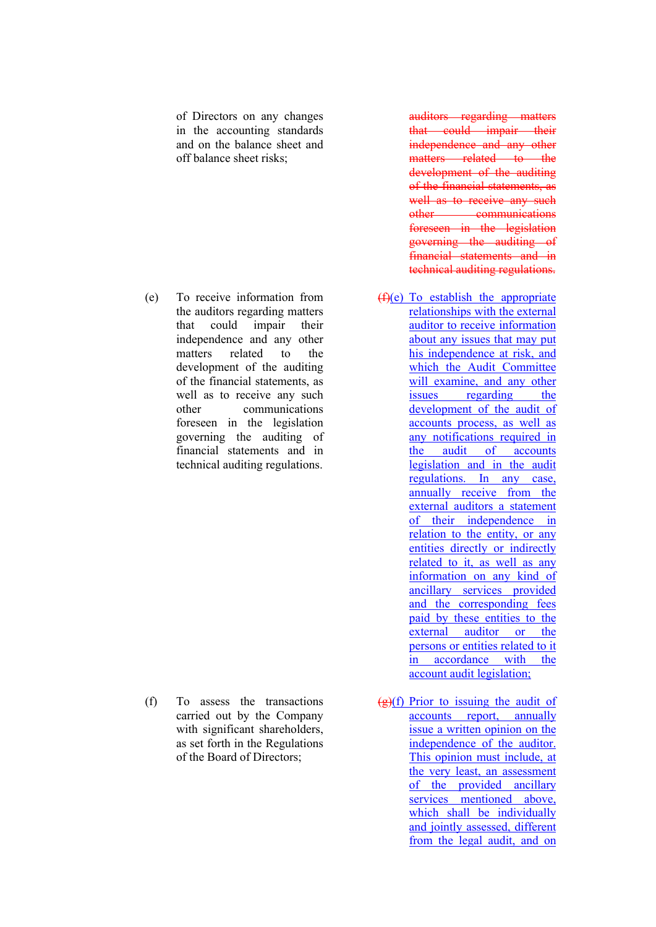of Directors on any changes in the accounting standards and on the balance sheet and off balance sheet risks;

(e) To receive information from the auditors regarding matters that could impair their independence and any other matters related to the development of the auditing of the financial statements, as well as to receive any such other communications foreseen in the legislation governing the auditing of financial statements and in technical auditing regulations.

(f) To assess the transactions carried out by the Company with significant shareholders. as set forth in the Regulations of the Board of Directors;

auditors regarding matters that could impair their independence and any other matters related to the development of the auditing of the financial statements, as well as to receive any such other communications foreseen in the legislation governing the auditing of financial statements and in technical auditing regulations.

- $(f)(e)$  To establish the appropriate relationships with the external auditor to receive information about any issues that may put his independence at risk, and which the Audit Committee will examine, and any other issues regarding the development of the audit of accounts process, as well as any notifications required in the audit of accounts legislation and in the audit regulations. In any case, annually receive from the external auditors a statement of their independence in relation to the entity, or any entities directly or indirectly related to it, as well as any information on any kind of ancillary services provided and the corresponding fees paid by these entities to the external auditor or the persons or entities related to it in accordance with the account audit legislation;
- $\left(\frac{g}{g}\right)(f)$  Prior to issuing the audit of accounts report, annually issue a written opinion on the independence of the auditor. This opinion must include, at the very least, an assessment of the provided ancillary services mentioned above, which shall be individually and jointly assessed, different from the legal audit, and on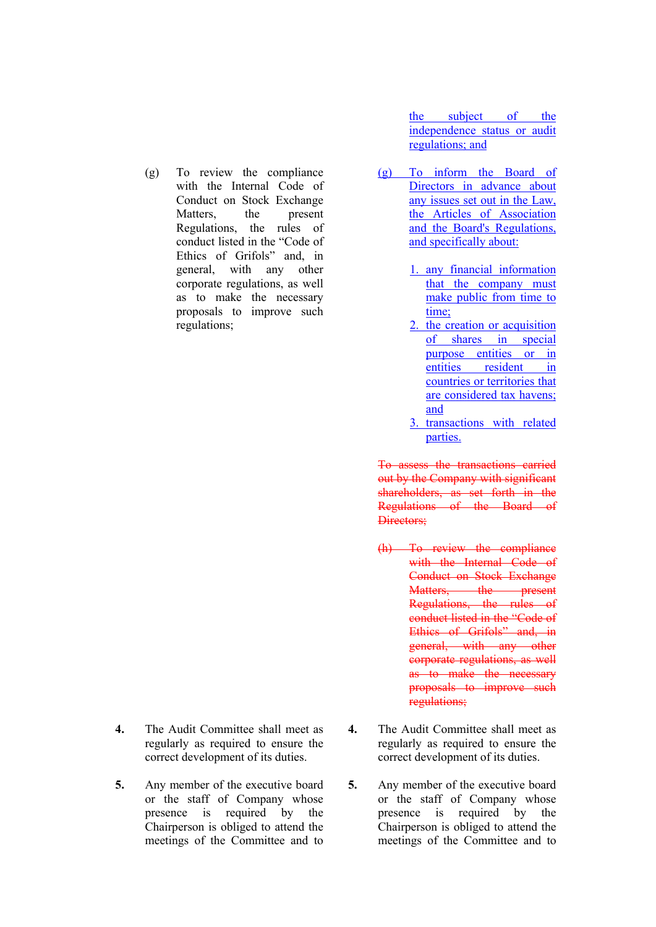(g) To review the compliance with the Internal Code of Conduct on Stock Exchange Matters, the present Regulations, the rules of conduct listed in the "Code of Ethics of Grifols" and, in general, with any other corporate regulations, as well as to make the necessary proposals to improve such regulations;

- **4.** The Audit Committee shall meet as regularly as required to ensure the correct development of its duties.
- **5.** Any member of the executive board or the staff of Company whose presence is required by the Chairperson is obliged to attend the meetings of the Committee and to

the subject of the independence status or audit regulations; and

- (g) To inform the Board of Directors in advance about any issues set out in the Law, the Articles of Association and the Board's Regulations, and specifically about:
	- 1. any financial information that the company must make public from time to time;
	- 2. the creation or acquisition of shares in special purpose entities or in entities resident in countries or territories that are considered tax havens; and
	- 3. transactions with related parties.

To assess the transactions carried out by the Company with significant shareholders, as set forth in the Regulations of the Board of Directors:

- (h) To review the compliance with the Internal Code of Conduct on Stock Exchange Matters, the present Regulations, the rules of conduct listed in the "Code of Ethics of Grifols" and, in general, with any other corporate regulations, as well as to make the necessary proposals to improve such regulations;
- **4.** The Audit Committee shall meet as regularly as required to ensure the correct development of its duties.
- **5.** Any member of the executive board or the staff of Company whose presence is required by the Chairperson is obliged to attend the meetings of the Committee and to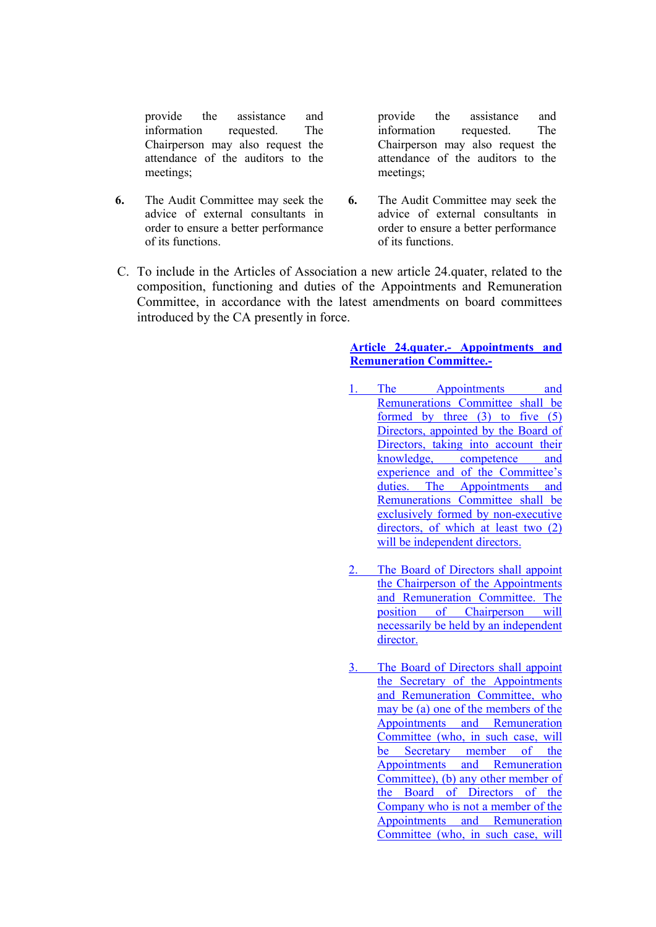provide the assistance and information requested. The Chairperson may also request the attendance of the auditors to the meetings;

**6.** The Audit Committee may seek the advice of external consultants in order to ensure a better performance of its functions.

provide the assistance and information requested. The Chairperson may also request the attendance of the auditors to the meetings;

- **6.** The Audit Committee may seek the advice of external consultants in order to ensure a better performance of its functions.
- C. To include in the Articles of Association a new article 24.quater, related to the composition, functioning and duties of the Appointments and Remuneration Committee, in accordance with the latest amendments on board committees introduced by the CA presently in force.

#### **Article 24.quater.- Appointments and Remuneration Committee.-**

- The Appointments and Remunerations Committee shall be formed by three (3) to five (5) Directors, appointed by the Board of Directors, taking into account their<br>knowledge, competence and competence and experience and of the Committee's duties. The Appointments and Remunerations Committee shall be exclusively formed by non-executive directors, of which at least two (2) will be independent directors.
- 2. The Board of Directors shall appoint the Chairperson of the Appointments and Remuneration Committee. The position of Chairperson will necessarily be held by an independent director.
- 3. The Board of Directors shall appoint the Secretary of the Appointments and Remuneration Committee, who may be (a) one of the members of the Appointments and Remuneration Committee (who, in such case, will be Secretary member of the Appointments and Remuneration Committee), (b) any other member of the Board of Directors of the Company who is not a member of the Appointments and Remuneration Committee (who, in such case, will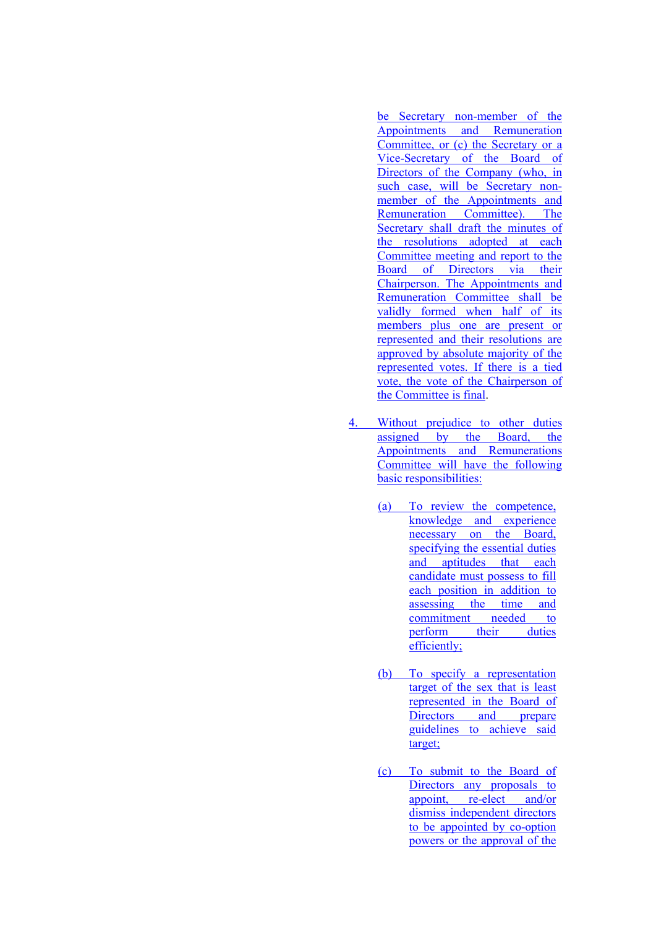be Secretary non-member of the Appointments and Remuneration Committee, or (c) the Secretary or a Vice-Secretary of the Board of Directors of the Company (who, in such case, will be Secretary nonmember of the Appointments and Remuneration Committee). The Secretary shall draft the minutes of the resolutions adopted at each Committee meeting and report to the Board of Directors via their Chairperson. The Appointments and Remuneration Committee shall be validly formed when half of its members plus one are present or represented and their resolutions are approved by absolute majority of the represented votes. If there is a tied vote, the vote of the Chairperson of the Committee is final.

- 4. Without prejudice to other duties assigned by the Board, the Appointments and Remunerations Committee will have the following basic responsibilities:
	- (a) To review the competence, knowledge and experience necessary on the Board, specifying the essential duties and aptitudes that each candidate must possess to fill each position in addition to assessing the time and commitment needed to perform their duties efficiently;
	- (b) To specify a representation target of the sex that is least represented in the Board of Directors and prepare guidelines to achieve said target;
	- (c) To submit to the Board of Directors any proposals to appoint, re-elect and/or dismiss independent directors to be appointed by co-option powers or the approval of the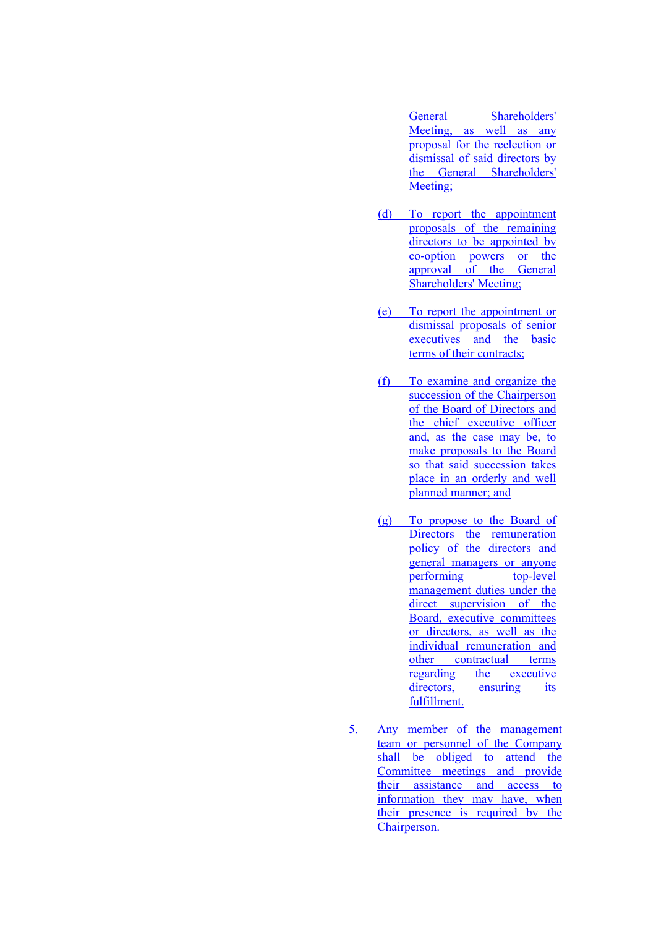General Shareholders' Meeting, as well as any proposal for the reelection or dismissal of said directors by the General Shareholders' Meeting:

- (d) To report the appointment proposals of the remaining directors to be appointed by co-option powers or the approval of the General Shareholders' Meeting;
- (e) To report the appointment or dismissal proposals of senior executives and the basic terms of their contracts;
- (f) To examine and organize the succession of the Chairperson of the Board of Directors and the chief executive officer and, as the case may be, to make proposals to the Board so that said succession takes place in an orderly and well planned manner; and
- (g) To propose to the Board of Directors the remuneration policy of the directors and general managers or anyone performing top-level management duties under the direct supervision of the Board, executive committees or directors, as well as the individual remuneration and other contractual terms regarding the executive directors, ensuring its fulfillment.
- 5. Any member of the management team or personnel of the Company shall be obliged to attend the Committee meetings and provide their assistance and access to information they may have, when their presence is required by the Chairperson.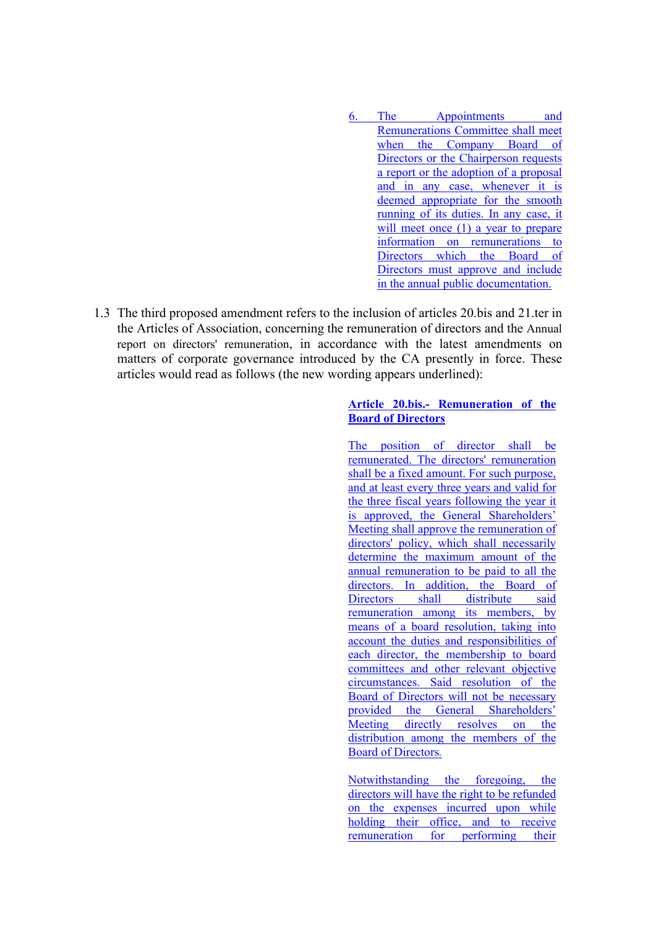- 6. The Appointments and Remunerations Committee shall meet when the Company Board of Directors or the Chairperson requests a report or the adoption of a proposal and in any case, whenever it is deemed appropriate for the smooth running of its duties. In any case, it will meet once (1) a year to prepare information on remunerations to Directors which the Board of Directors must approve and include in the annual public documentation.
- 1.3 The third proposed amendment refers to the inclusion of articles 20.bis and 21.ter in the Articles of Association, concerning the remuneration of directors and the Annual report on directors' remuneration, in accordance with the latest amendments on matters of corporate governance introduced by the CA presently in force. These articles would read as follows (the new wording appears underlined):

#### **Article 20.bis.- Remuneration of the Board of Directors**

The position of director shall be remunerated. The directors' remuneration shall be a fixed amount. For such purpose, and at least every three years and valid for the three fiscal years following the year it is approved, the General Shareholders' Meeting shall approve the remuneration of directors' policy, which shall necessarily determine the maximum amount of the annual remuneration to be paid to all the directors. In addition, the Board of Directors shall distribute said remuneration among its members, by means of a board resolution, taking into account the duties and responsibilities of each director, the membership to board committees and other relevant objective circumstances. Said resolution of the Board of Directors will not be necessary provided the General Shareholders' Meeting directly resolves on the distribution among the members of the Board of Directors*.*

Notwithstanding the foregoing, the directors will have the right to be refunded on the expenses incurred upon while holding their office, and to receive remuneration for performing their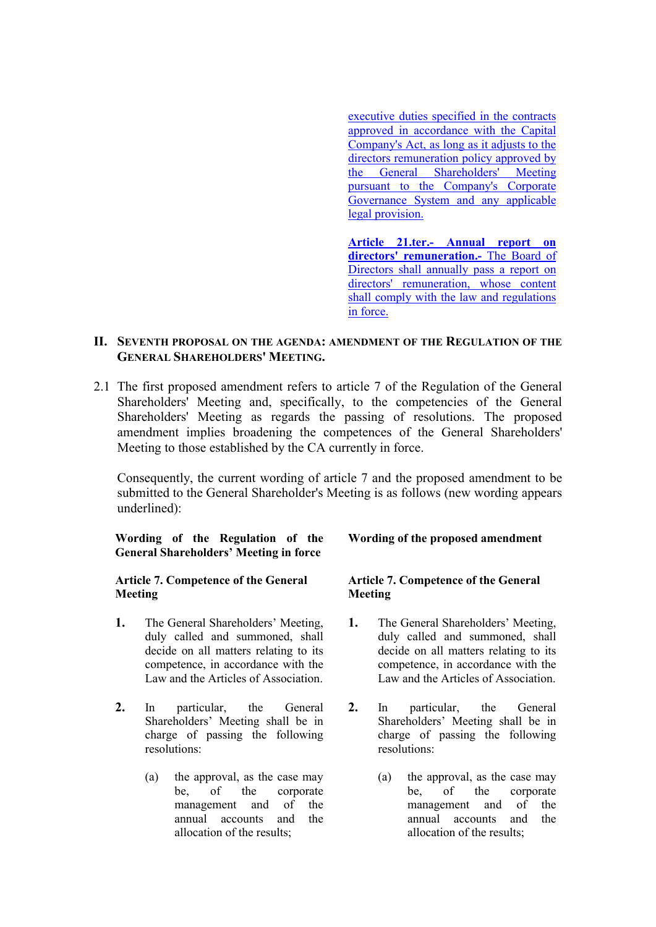executive duties specified in the contracts approved in accordance with the Capital Company's Act, as long as it adjusts to the directors remuneration policy approved by the General Shareholders' Meeting pursuant to the Company's Corporate Governance System and any applicable legal provision.

**Article 21.ter.- Annual report on directors' remuneration.-** The Board of Directors shall annually pass a report on directors' remuneration, whose content shall comply with the law and regulations in force.

#### **II. SEVENTH PROPOSAL ON THE AGENDA: AMENDMENT OF THE REGULATION OF THE GENERAL SHAREHOLDERS' MEETING.**

2.1 The first proposed amendment refers to article 7 of the Regulation of the General Shareholders' Meeting and, specifically, to the competencies of the General Shareholders' Meeting as regards the passing of resolutions. The proposed amendment implies broadening the competences of the General Shareholders' Meeting to those established by the CA currently in force.

Consequently, the current wording of article 7 and the proposed amendment to be submitted to the General Shareholder's Meeting is as follows (new wording appears underlined):

#### **Wording of the Regulation of the General Shareholders' Meeting in force**

#### **Article 7. Competence of the General Meeting**

- **1.** The General Shareholders' Meeting, duly called and summoned, shall decide on all matters relating to its competence, in accordance with the Law and the Articles of Association.
- **2.** In particular, the General Shareholders' Meeting shall be in charge of passing the following resolutions:
	- (a) the approval, as the case may be, of the corporate management and of the annual accounts and the allocation of the results;

#### **Wording of the proposed amendment**

#### **Article 7. Competence of the General Meeting**

- **1.** The General Shareholders' Meeting, duly called and summoned, shall decide on all matters relating to its competence, in accordance with the Law and the Articles of Association.
- **2.** In particular, the General Shareholders' Meeting shall be in charge of passing the following resolutions:
	- (a) the approval, as the case may be, of the corporate management and of the annual accounts and the allocation of the results;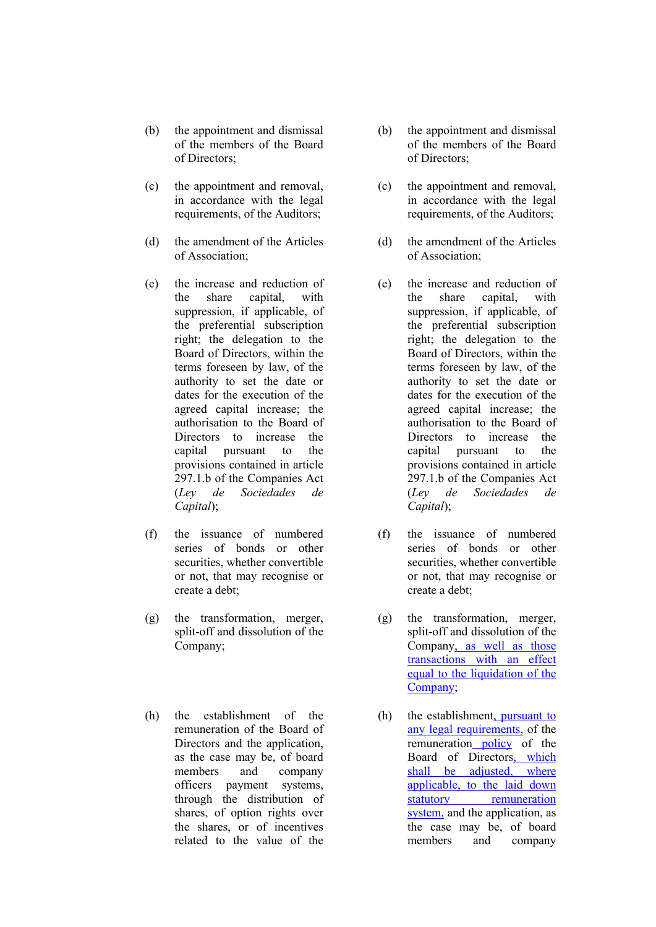- (b) the appointment and dismissal of the members of the Board of Directors;
- (c) the appointment and removal, in accordance with the legal requirements, of the Auditors;
- (d) the amendment of the Articles of Association;
- (e) the increase and reduction of the share capital, with suppression, if applicable, of the preferential subscription right; the delegation to the Board of Directors, within the terms foreseen by law, of the authority to set the date or dates for the execution of the agreed capital increase; the authorisation to the Board of Directors to increase the capital pursuant to the provisions contained in article 297.1.b of the Companies Act (*Ley de Sociedades de Capital*);
- (f) the issuance of numbered series of bonds or other securities, whether convertible or not, that may recognise or create a debt;
- (g) the transformation, merger, split-off and dissolution of the Company;
- (h) the establishment of the remuneration of the Board of Directors and the application, as the case may be, of board members and company officers payment systems, through the distribution of shares, of option rights over the shares, or of incentives related to the value of the
- (b) the appointment and dismissal of the members of the Board of Directors;
- (c) the appointment and removal, in accordance with the legal requirements, of the Auditors;
- (d) the amendment of the Articles of Association;
- (e) the increase and reduction of the share capital, with suppression, if applicable, of the preferential subscription right; the delegation to the Board of Directors, within the terms foreseen by law, of the authority to set the date or dates for the execution of the agreed capital increase; the authorisation to the Board of Directors to increase the capital pursuant to the provisions contained in article 297.1.b of the Companies Act (*Ley de Sociedades de Capital*);
- (f) the issuance of numbered series of bonds or other securities, whether convertible or not, that may recognise or create a debt;
- (g) the transformation, merger, split-off and dissolution of the Company, as well as those transactions with an effect equal to the liquidation of the Company;
- (h) the establishment, pursuant to any legal requirements, of the remuneration policy of the Board of Directors, which shall be adjusted, where applicable, to the laid down statutory remuneration system, and the application, as the case may be, of board members and company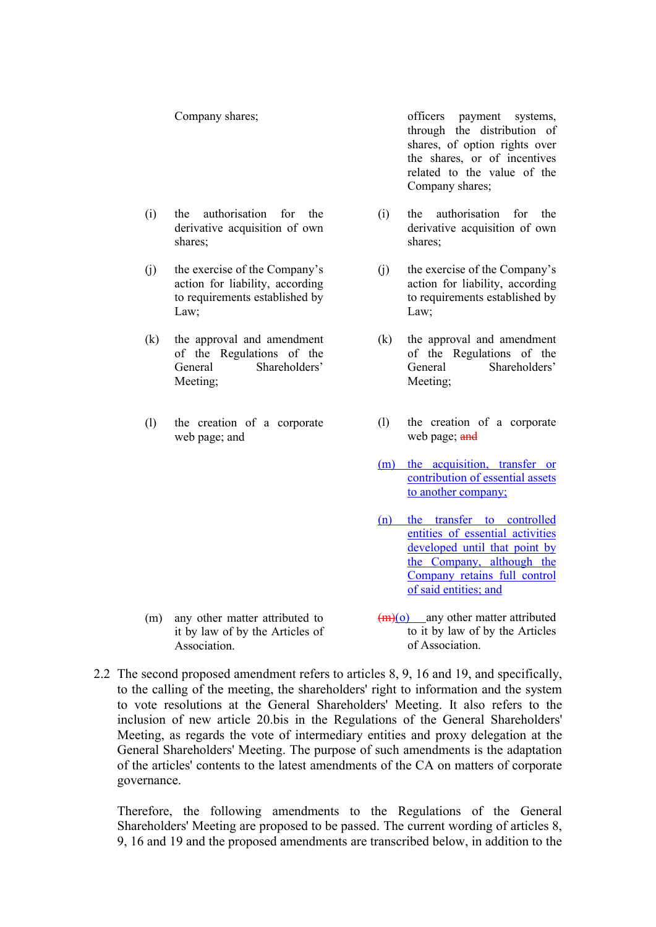Company shares;

- (i) the authorisation for the derivative acquisition of own shares;
- (j) the exercise of the Company's action for liability, according to requirements established by Law;
- (k) the approval and amendment of the Regulations of the General Shareholders' Meeting;
- (l) the creation of a corporate web page; and

officers payment systems, through the distribution of shares, of option rights over the shares, or of incentives related to the value of the Company shares;

- (i) the authorisation for the derivative acquisition of own shares;
- (j) the exercise of the Company's action for liability, according to requirements established by Law;
- (k) the approval and amendment of the Regulations of the General Shareholders' Meeting;
- (l) the creation of a corporate web page; and
- (m) the acquisition, transfer or contribution of essential assets to another company;
- (n) the transfer to controlled entities of essential activities developed until that point by the Company, although the Company retains full control of said entities; and
- (m) any other matter attributed to it by law of by the Articles of Association.
- $(m)(o)$  any other matter attributed to it by law of by the Articles of Association.
- 2.2 The second proposed amendment refers to articles 8, 9, 16 and 19, and specifically, to the calling of the meeting, the shareholders' right to information and the system to vote resolutions at the General Shareholders' Meeting. It also refers to the inclusion of new article 20.bis in the Regulations of the General Shareholders' Meeting, as regards the vote of intermediary entities and proxy delegation at the General Shareholders' Meeting. The purpose of such amendments is the adaptation of the articles' contents to the latest amendments of the CA on matters of corporate governance.

Therefore, the following amendments to the Regulations of the General Shareholders' Meeting are proposed to be passed. The current wording of articles 8, 9, 16 and 19 and the proposed amendments are transcribed below, in addition to the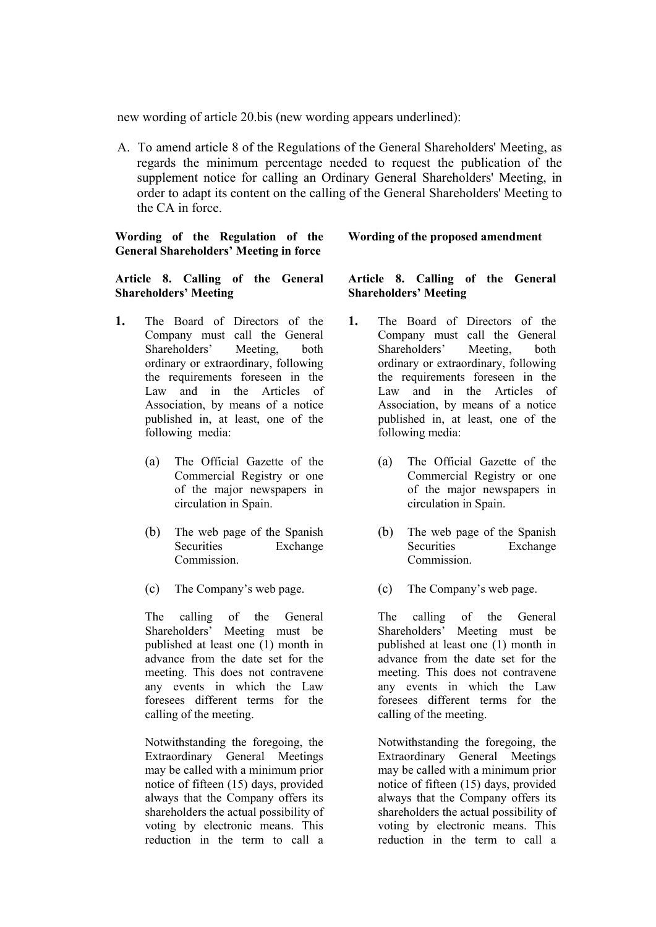new wording of article 20.bis (new wording appears underlined):

A. To amend article 8 of the Regulations of the General Shareholders' Meeting, as regards the minimum percentage needed to request the publication of the supplement notice for calling an Ordinary General Shareholders' Meeting, in order to adapt its content on the calling of the General Shareholders' Meeting to the CA in force.

**Wording of the Regulation of the General Shareholders' Meeting in force** 

#### **Article 8. Calling of the General Shareholders' Meeting**

- **1.** The Board of Directors of the Company must call the General Shareholders' Meeting, both ordinary or extraordinary, following the requirements foreseen in the Law and in the Articles of Association, by means of a notice published in, at least, one of the following media:
	- (a) The Official Gazette of the Commercial Registry or one of the major newspapers in circulation in Spain.
	- (b) The web page of the Spanish Securities Exchange **Commission**
	- (c) The Company's web page.

The calling of the General Shareholders' Meeting must be published at least one (1) month in advance from the date set for the meeting. This does not contravene any events in which the Law foresees different terms for the calling of the meeting.

Notwithstanding the foregoing, the Extraordinary General Meetings may be called with a minimum prior notice of fifteen (15) days, provided always that the Company offers its shareholders the actual possibility of voting by electronic means. This reduction in the term to call a

#### **Wording of the proposed amendment**

#### **Article 8. Calling of the General Shareholders' Meeting**

- **1.** The Board of Directors of the Company must call the General Shareholders' Meeting, both ordinary or extraordinary, following the requirements foreseen in the Law and in the Articles of Association, by means of a notice published in, at least, one of the following media:
	- (a) The Official Gazette of the Commercial Registry or one of the major newspapers in circulation in Spain.
	- (b) The web page of the Spanish Securities Exchange **Commission**
	- (c) The Company's web page.

The calling of the General<br>Shareholders' Meeting must be Meeting must be published at least one (1) month in advance from the date set for the meeting. This does not contravene any events in which the Law foresees different terms for the calling of the meeting.

Notwithstanding the foregoing, the Extraordinary General Meetings may be called with a minimum prior notice of fifteen (15) days, provided always that the Company offers its shareholders the actual possibility of voting by electronic means. This reduction in the term to call a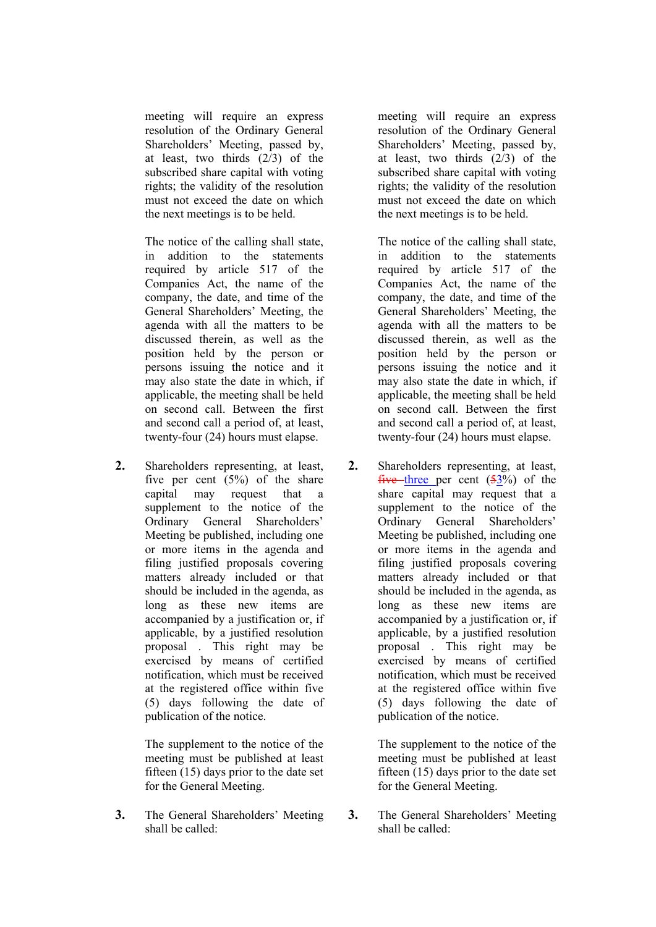meeting will require an express resolution of the Ordinary General Shareholders' Meeting, passed by, at least, two thirds (2/3) of the subscribed share capital with voting rights; the validity of the resolution must not exceed the date on which the next meetings is to be held.

The notice of the calling shall state, in addition to the statements required by article 517 of the Companies Act, the name of the company, the date, and time of the General Shareholders' Meeting, the agenda with all the matters to be discussed therein, as well as the position held by the person or persons issuing the notice and it may also state the date in which, if applicable, the meeting shall be held on second call. Between the first and second call a period of, at least, twenty-four (24) hours must elapse.

**2.** Shareholders representing, at least, five per cent  $(5\%)$  of the share capital may request that a supplement to the notice of the Ordinary General Shareholders' Meeting be published, including one or more items in the agenda and filing justified proposals covering matters already included or that should be included in the agenda, as long as these new items are accompanied by a justification or, if applicable, by a justified resolution proposal . This right may be exercised by means of certified notification, which must be received at the registered office within five (5) days following the date of publication of the notice.

> The supplement to the notice of the meeting must be published at least fifteen (15) days prior to the date set for the General Meeting.

**3.** The General Shareholders' Meeting shall be called:

meeting will require an express resolution of the Ordinary General Shareholders' Meeting, passed by, at least, two thirds (2/3) of the subscribed share capital with voting rights; the validity of the resolution must not exceed the date on which the next meetings is to be held.

The notice of the calling shall state, in addition to the statements required by article 517 of the Companies Act, the name of the company, the date, and time of the General Shareholders' Meeting, the agenda with all the matters to be discussed therein, as well as the position held by the person or persons issuing the notice and it may also state the date in which, if applicable, the meeting shall be held on second call. Between the first and second call a period of, at least, twenty-four (24) hours must elapse.

**2.** Shareholders representing, at least, five three per cent  $(53%)$  of the share capital may request that a supplement to the notice of the Ordinary General Shareholders' Meeting be published, including one or more items in the agenda and filing justified proposals covering matters already included or that should be included in the agenda, as long as these new items are accompanied by a justification or, if applicable, by a justified resolution proposal . This right may be exercised by means of certified notification, which must be received at the registered office within five (5) days following the date of publication of the notice.

> The supplement to the notice of the meeting must be published at least fifteen (15) days prior to the date set for the General Meeting.

**3.** The General Shareholders' Meeting shall be called: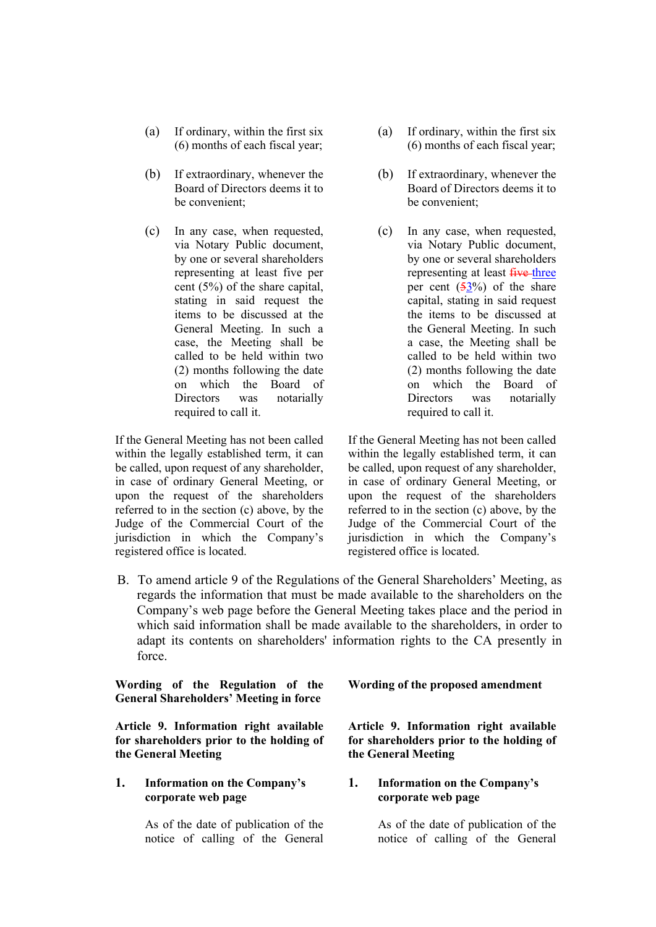- (a) If ordinary, within the first six (6) months of each fiscal year;
- (b) If extraordinary, whenever the Board of Directors deems it to be convenient;
- (c) In any case, when requested, via Notary Public document, by one or several shareholders representing at least five per cent (5%) of the share capital, stating in said request the items to be discussed at the General Meeting. In such a case, the Meeting shall be called to be held within two (2) months following the date on which the Board of Directors was notarially required to call it.

If the General Meeting has not been called within the legally established term, it can be called, upon request of any shareholder, in case of ordinary General Meeting, or upon the request of the shareholders referred to in the section (c) above, by the Judge of the Commercial Court of the jurisdiction in which the Company's registered office is located.

- (a) If ordinary, within the first six (6) months of each fiscal year;
- (b) If extraordinary, whenever the Board of Directors deems it to be convenient;
- (c) In any case, when requested, via Notary Public document, by one or several shareholders representing at least five-three per cent  $(53%)$  of the share capital, stating in said request the items to be discussed at the General Meeting. In such a case, the Meeting shall be called to be held within two (2) months following the date on which the Board of Directors was notarially required to call it.

If the General Meeting has not been called within the legally established term, it can be called, upon request of any shareholder, in case of ordinary General Meeting, or upon the request of the shareholders referred to in the section (c) above, by the Judge of the Commercial Court of the jurisdiction in which the Company's registered office is located.

B. To amend article 9 of the Regulations of the General Shareholders' Meeting, as regards the information that must be made available to the shareholders on the Company's web page before the General Meeting takes place and the period in which said information shall be made available to the shareholders, in order to adapt its contents on shareholders' information rights to the CA presently in force.

**Wording of the Regulation of the General Shareholders' Meeting in force** 

**Article 9. Information right available for shareholders prior to the holding of the General Meeting**

**1. Information on the Company's corporate web page** 

> As of the date of publication of the notice of calling of the General

**Wording of the proposed amendment**

**Article 9. Information right available for shareholders prior to the holding of the General Meeting**

#### **1. Information on the Company's corporate web page**

As of the date of publication of the notice of calling of the General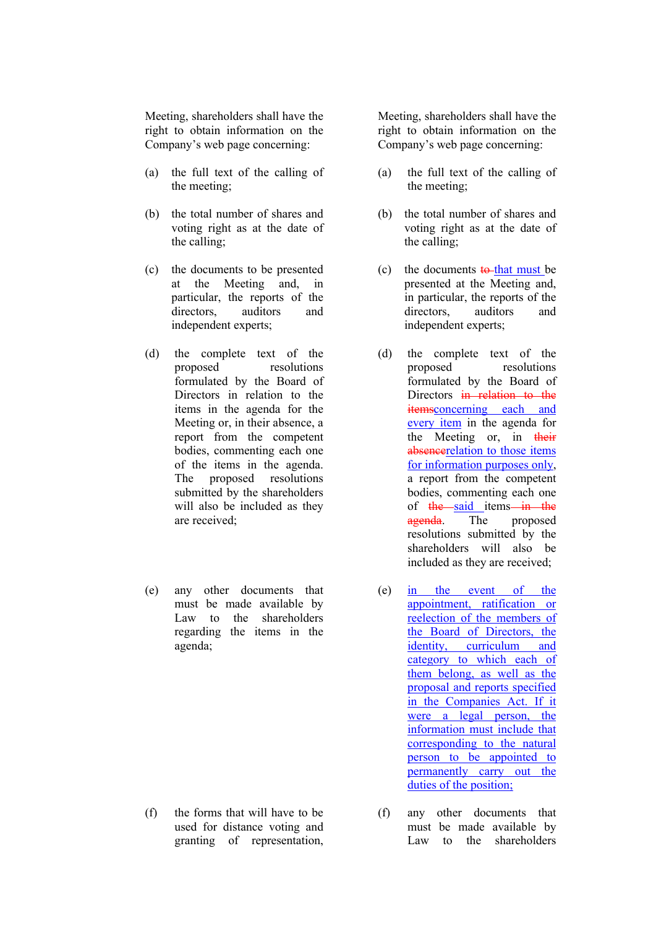Meeting, shareholders shall have the right to obtain information on the Company's web page concerning:

- (a) the full text of the calling of the meeting;
- (b) the total number of shares and voting right as at the date of the calling;
- (c) the documents to be presented at the Meeting and, in particular, the reports of the directors, auditors and independent experts;
- (d) the complete text of the proposed resolutions formulated by the Board of Directors in relation to the items in the agenda for the Meeting or, in their absence, a report from the competent bodies, commenting each one of the items in the agenda. The proposed resolutions submitted by the shareholders will also be included as they are received;
- (e) any other documents that must be made available by Law to the shareholders regarding the items in the agenda;

(f) the forms that will have to be used for distance voting and granting of representation,

Meeting, shareholders shall have the right to obtain information on the Company's web page concerning:

- (a) the full text of the calling of the meeting;
- (b) the total number of shares and voting right as at the date of the calling;
- (c) the documents  $\frac{1}{2}$  to that must be presented at the Meeting and, in particular, the reports of the directors, auditors and independent experts;
- (d) the complete text of the proposed resolutions formulated by the Board of Directors in relation to the itemsconcerning each and every item in the agenda for the Meeting or, in their absencerelation to those items for information purposes only, a report from the competent bodies, commenting each one of  $the$  said items in the agenda. The proposed resolutions submitted by the shareholders will also be included as they are received;
- (e) in the event of the appointment, ratification or reelection of the members of the Board of Directors, the identity, curriculum and category to which each of them belong, as well as the proposal and reports specified in the Companies Act. If it were a legal person, the information must include that corresponding to the natural person to be appointed to permanently carry out the duties of the position;
- (f) any other documents that must be made available by Law to the shareholders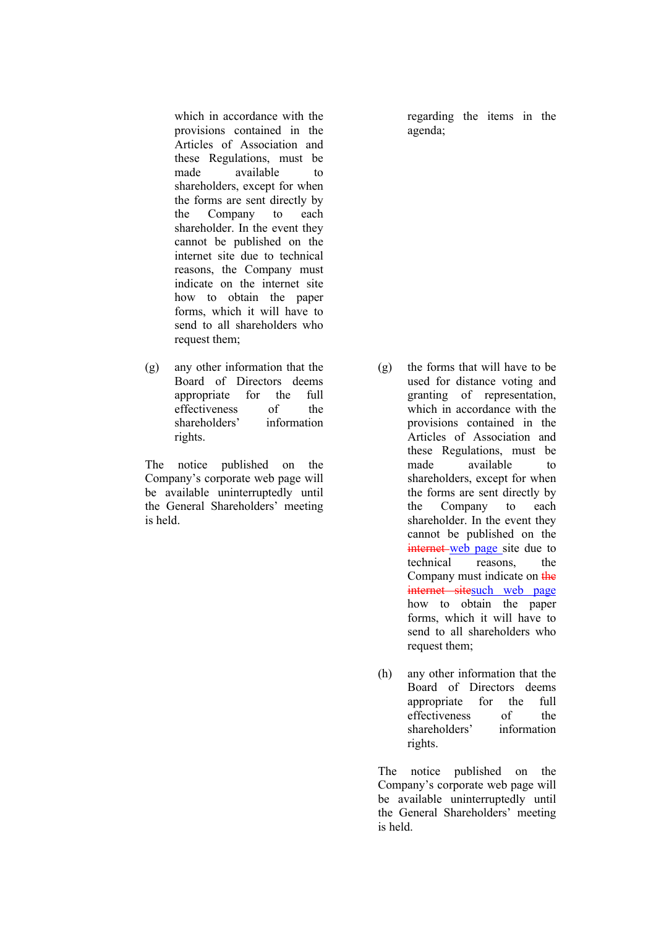which in accordance with the provisions contained in the Articles of Association and these Regulations, must be made available to shareholders, except for when the forms are sent directly by the Company to each shareholder. In the event they cannot be published on the internet site due to technical reasons, the Company must indicate on the internet site how to obtain the paper forms, which it will have to send to all shareholders who request them;

(g) any other information that the Board of Directors deems appropriate for the full effectiveness of the shareholders' information rights.

The notice published on the Company's corporate web page will be available uninterruptedly until the General Shareholders' meeting is held.

regarding the items in the agenda;

- (g) the forms that will have to be used for distance voting and granting of representation, which in accordance with the provisions contained in the Articles of Association and these Regulations, must be made available to shareholders, except for when the forms are sent directly by the Company to each shareholder. In the event they cannot be published on the internet web page site due to technical reasons, the Company must indicate on the internet sitesuch web page how to obtain the paper forms, which it will have to send to all shareholders who request them;
- (h) any other information that the Board of Directors deems appropriate for the full effectiveness of the shareholders' information rights.

The notice published on the Company's corporate web page will be available uninterruptedly until the General Shareholders' meeting is held.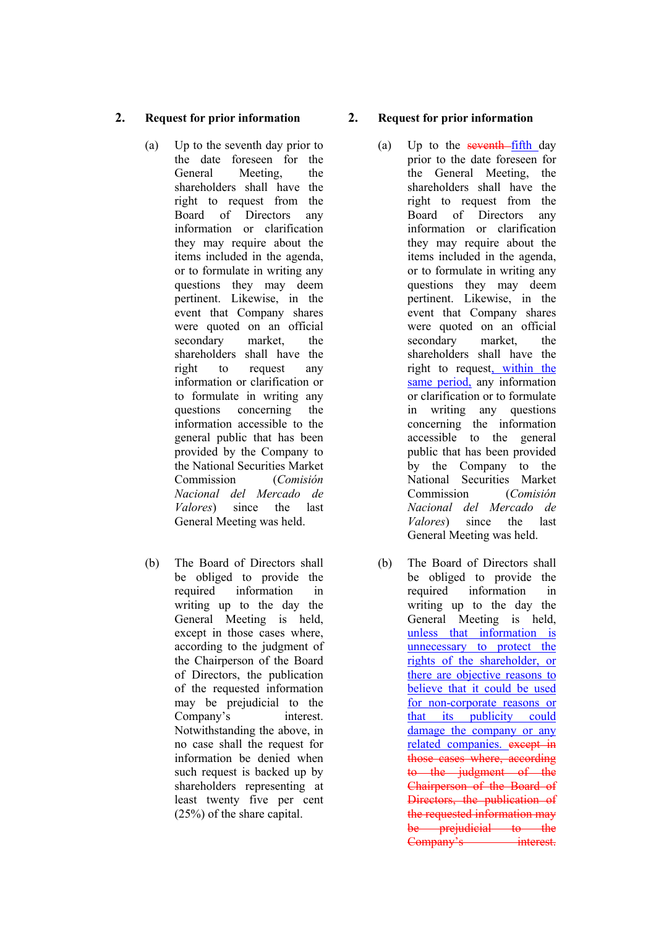#### **2. Request for prior information**

- (a) Up to the seventh day prior to the date foreseen for the General Meeting, the shareholders shall have the right to request from the Board of Directors any information or clarification they may require about the items included in the agenda, or to formulate in writing any questions they may deem pertinent. Likewise, in the event that Company shares were quoted on an official secondary market, the shareholders shall have the right to request any information or clarification or to formulate in writing any questions concerning the information accessible to the general public that has been provided by the Company to the National Securities Market Commission (*Comisión Nacional del Mercado de Valores*) since the last General Meeting was held.
- (b) The Board of Directors shall be obliged to provide the required information in writing up to the day the General Meeting is held, except in those cases where, according to the judgment of the Chairperson of the Board of Directors, the publication of the requested information may be prejudicial to the Company's interest. Notwithstanding the above, in no case shall the request for information be denied when such request is backed up by shareholders representing at least twenty five per cent (25%) of the share capital.

#### **2. Request for prior information**

- (a) Up to the seventh-fifth day prior to the date foreseen for the General Meeting, the shareholders shall have the right to request from the Board of Directors any information or clarification they may require about the items included in the agenda, or to formulate in writing any questions they may deem pertinent. Likewise, in the event that Company shares were quoted on an official secondary market, the shareholders shall have the right to request, within the same period, any information or clarification or to formulate in writing any questions concerning the information accessible to the general public that has been provided by the Company to the National Securities Market Commission (*Comisión Nacional del Mercado de Valores*) since the last General Meeting was held.
- (b) The Board of Directors shall be obliged to provide the required information in writing up to the day the General Meeting is held, unless that information is unnecessary to protect the rights of the shareholder, or there are objective reasons to believe that it could be used for non-corporate reasons or that its publicity could damage the company or any related companies. except in those cases where, according to the judgment of the Chairperson of the Board of Directors, the publication of the requested information may be prejudicial to the Company's interest.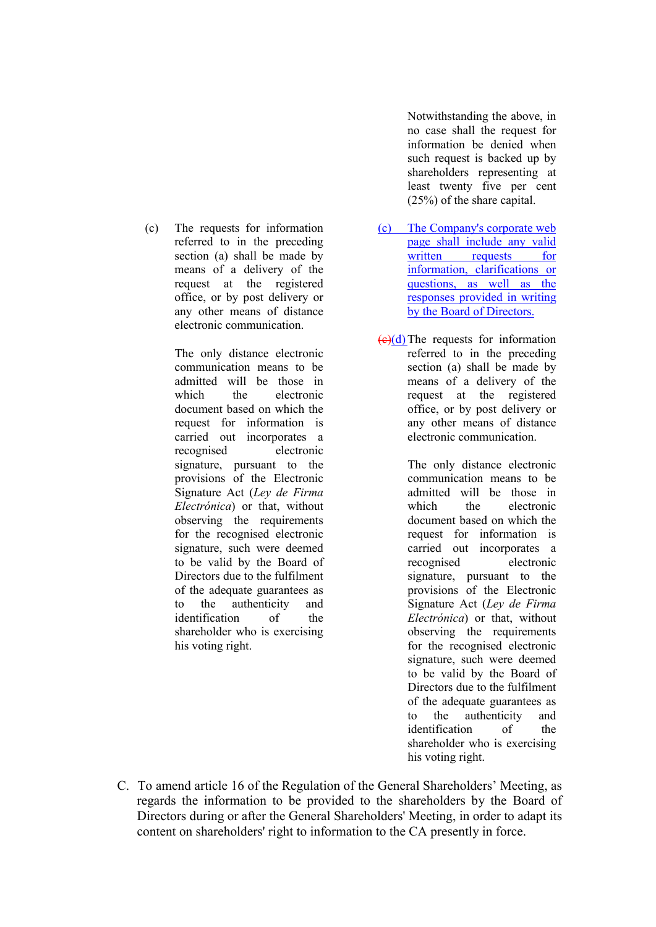(c) The requests for information referred to in the preceding section (a) shall be made by means of a delivery of the request at the registered office, or by post delivery or any other means of distance electronic communication.

> The only distance electronic communication means to be admitted will be those in which the electronic document based on which the request for information is carried out incorporates a recognised electronic signature, pursuant to the provisions of the Electronic Signature Act (*Ley de Firma Electrónica*) or that, without observing the requirements for the recognised electronic signature, such were deemed to be valid by the Board of Directors due to the fulfilment of the adequate guarantees as to the authenticity and identification of the shareholder who is exercising his voting right.

Notwithstanding the above, in no case shall the request for information be denied when such request is backed up by shareholders representing at least twenty five per cent (25%) of the share capital.

- (c) The Company's corporate web page shall include any valid written requests for information, clarifications or questions, as well as the responses provided in writing by the Board of Directors.
- $(e)(d)$  The requests for information referred to in the preceding section (a) shall be made by means of a delivery of the request at the registered office, or by post delivery or any other means of distance electronic communication.

The only distance electronic communication means to be admitted will be those in which the electronic document based on which the request for information is carried out incorporates a recognised electronic signature, pursuant to the provisions of the Electronic Signature Act (*Ley de Firma Electrónica*) or that, without observing the requirements for the recognised electronic signature, such were deemed to be valid by the Board of Directors due to the fulfilment of the adequate guarantees as to the authenticity and identification of the shareholder who is exercising his voting right.

C. To amend article 16 of the Regulation of the General Shareholders' Meeting, as regards the information to be provided to the shareholders by the Board of Directors during or after the General Shareholders' Meeting, in order to adapt its content on shareholders' right to information to the CA presently in force.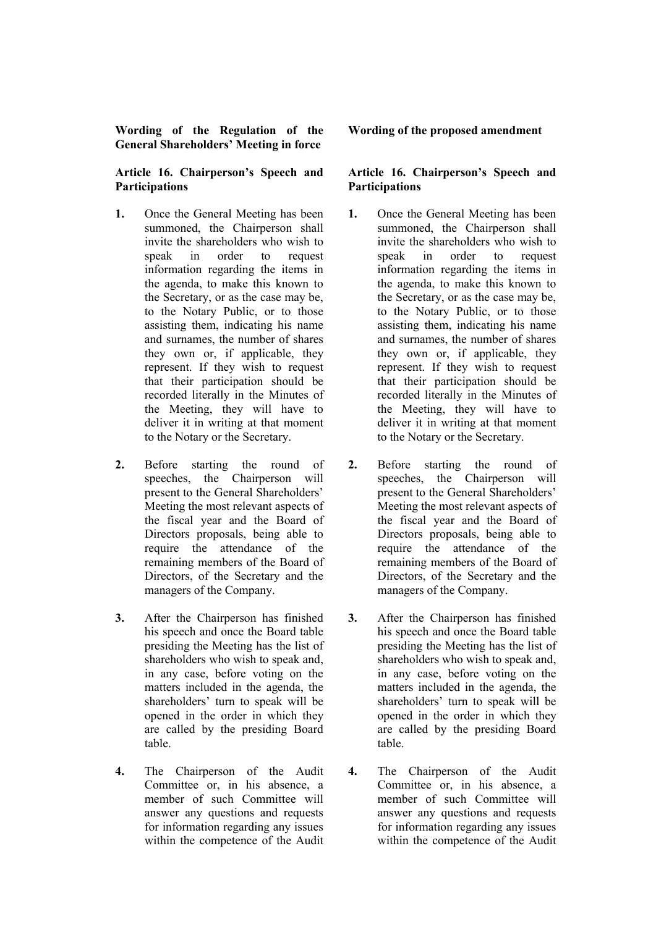#### **Wording of the Regulation of the General Shareholders' Meeting in force**

#### **Article 16. Chairperson's Speech and Participations**

- **1.** Once the General Meeting has been summoned, the Chairperson shall invite the shareholders who wish to speak in order to request information regarding the items in the agenda, to make this known to the Secretary, or as the case may be, to the Notary Public, or to those assisting them, indicating his name and surnames, the number of shares they own or, if applicable, they represent. If they wish to request that their participation should be recorded literally in the Minutes of the Meeting, they will have to deliver it in writing at that moment to the Notary or the Secretary.
- **2.** Before starting the round of speeches, the Chairperson will present to the General Shareholders' Meeting the most relevant aspects of the fiscal year and the Board of Directors proposals, being able to require the attendance of the remaining members of the Board of Directors, of the Secretary and the managers of the Company.
- **3.** After the Chairperson has finished his speech and once the Board table presiding the Meeting has the list of shareholders who wish to speak and, in any case, before voting on the matters included in the agenda, the shareholders' turn to speak will be opened in the order in which they are called by the presiding Board table.
- **4.** The Chairperson of the Audit Committee or, in his absence, a member of such Committee will answer any questions and requests for information regarding any issues within the competence of the Audit

#### **Wording of the proposed amendment**

#### **Article 16. Chairperson's Speech and Participations**

- **1.** Once the General Meeting has been summoned, the Chairperson shall invite the shareholders who wish to speak in order to request information regarding the items in the agenda, to make this known to the Secretary, or as the case may be, to the Notary Public, or to those assisting them, indicating his name and surnames, the number of shares they own or, if applicable, they represent. If they wish to request that their participation should be recorded literally in the Minutes of the Meeting, they will have to deliver it in writing at that moment to the Notary or the Secretary.
- **2.** Before starting the round of speeches, the Chairperson will present to the General Shareholders' Meeting the most relevant aspects of the fiscal year and the Board of Directors proposals, being able to require the attendance of the remaining members of the Board of Directors, of the Secretary and the managers of the Company.
- **3.** After the Chairperson has finished his speech and once the Board table presiding the Meeting has the list of shareholders who wish to speak and, in any case, before voting on the matters included in the agenda, the shareholders' turn to speak will be opened in the order in which they are called by the presiding Board table.
- **4.** The Chairperson of the Audit Committee or, in his absence, a member of such Committee will answer any questions and requests for information regarding any issues within the competence of the Audit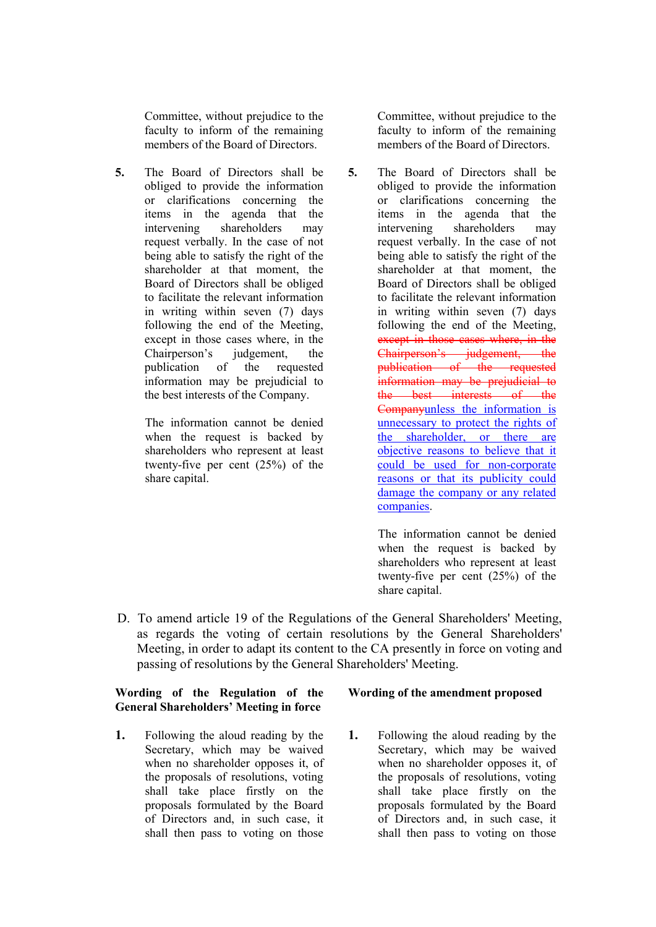Committee, without prejudice to the faculty to inform of the remaining members of the Board of Directors.

**5.** The Board of Directors shall be obliged to provide the information or clarifications concerning the items in the agenda that the intervening shareholders may request verbally. In the case of not being able to satisfy the right of the shareholder at that moment, the Board of Directors shall be obliged to facilitate the relevant information in writing within seven (7) days following the end of the Meeting, except in those cases where, in the Chairperson's judgement, the publication of the requested information may be prejudicial to the best interests of the Company.

> The information cannot be denied when the request is backed by shareholders who represent at least twenty-five per cent (25%) of the share capital.

Committee, without prejudice to the faculty to inform of the remaining members of the Board of Directors.

**5.** The Board of Directors shall be obliged to provide the information or clarifications concerning the items in the agenda that the intervening shareholders may request verbally. In the case of not being able to satisfy the right of the shareholder at that moment, the Board of Directors shall be obliged to facilitate the relevant information in writing within seven (7) days following the end of the Meeting, except in those cases where, in the Chairperson's judgement, the publication of the requested information may be prejudicial to the best interests of the Companyunless the information is unnecessary to protect the rights of the shareholder, or there are objective reasons to believe that it could be used for non-corporate reasons or that its publicity could damage the company or any related companies.

> The information cannot be denied when the request is backed by shareholders who represent at least twenty-five per cent (25%) of the share capital.

D. To amend article 19 of the Regulations of the General Shareholders' Meeting, as regards the voting of certain resolutions by the General Shareholders' Meeting, in order to adapt its content to the CA presently in force on voting and passing of resolutions by the General Shareholders' Meeting.

#### **Wording of the Regulation of the General Shareholders' Meeting in force**

**1.** Following the aloud reading by the Secretary, which may be waived when no shareholder opposes it, of the proposals of resolutions, voting shall take place firstly on the proposals formulated by the Board of Directors and, in such case, it shall then pass to voting on those

#### **Wording of the amendment proposed**

**1.** Following the aloud reading by the Secretary, which may be waived when no shareholder opposes it, of the proposals of resolutions, voting shall take place firstly on the proposals formulated by the Board of Directors and, in such case, it shall then pass to voting on those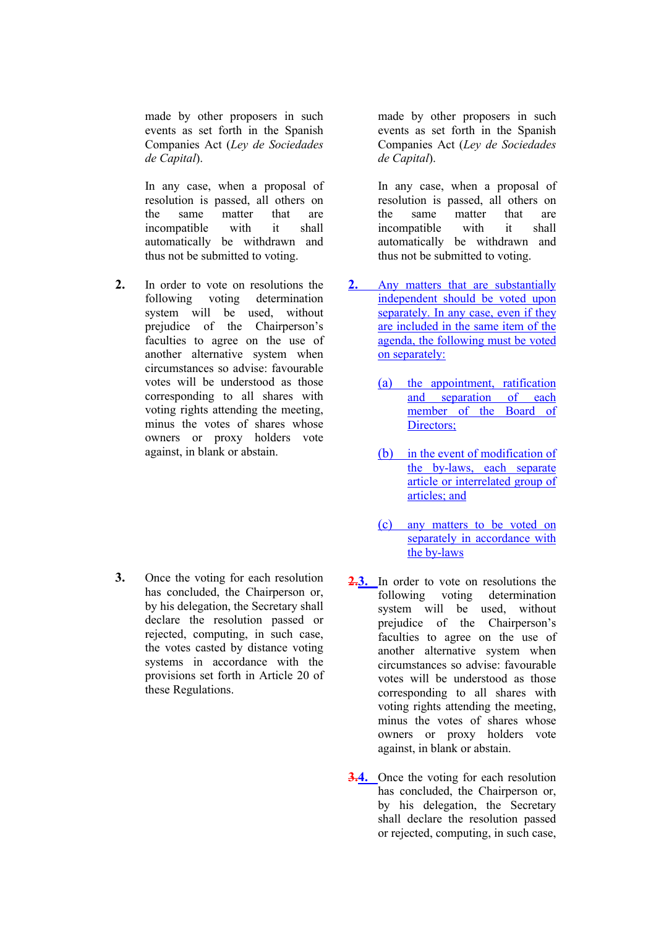made by other proposers in such events as set forth in the Spanish Companies Act (*Ley de Sociedades de Capital*).

In any case, when a proposal of resolution is passed, all others on the same matter that are incompatible with it shall automatically be withdrawn and thus not be submitted to voting.

**2.** In order to vote on resolutions the following voting determination system will be used, without prejudice of the Chairperson's faculties to agree on the use of another alternative system when circumstances so advise: favourable votes will be understood as those corresponding to all shares with voting rights attending the meeting, minus the votes of shares whose owners or proxy holders vote against, in blank or abstain.

**3.** Once the voting for each resolution has concluded, the Chairperson or, by his delegation, the Secretary shall declare the resolution passed or rejected, computing, in such case, the votes casted by distance voting systems in accordance with the provisions set forth in Article 20 of these Regulations.

made by other proposers in such events as set forth in the Spanish Companies Act (*Ley de Sociedades de Capital*).

In any case, when a proposal of resolution is passed, all others on the same matter that are incompatible with it shall automatically be withdrawn and thus not be submitted to voting.

- **2.** Any matters that are substantially independent should be voted upon separately. In any case, even if they are included in the same item of the agenda, the following must be voted on separately:
	- (a) the appointment, ratification and separation of each member of the Board of Directors;
	- (b) in the event of modification of the by-laws, each separate article or interrelated group of articles; and
	- (c) any matters to be voted on separately in accordance with the by-laws
- **2.3.** In order to vote on resolutions the following voting determination system will be used, without prejudice of the Chairperson's faculties to agree on the use of another alternative system when circumstances so advise: favourable votes will be understood as those corresponding to all shares with voting rights attending the meeting, minus the votes of shares whose owners or proxy holders vote against, in blank or abstain.
- **3.4.** Once the voting for each resolution has concluded, the Chairperson or, by his delegation, the Secretary shall declare the resolution passed or rejected, computing, in such case,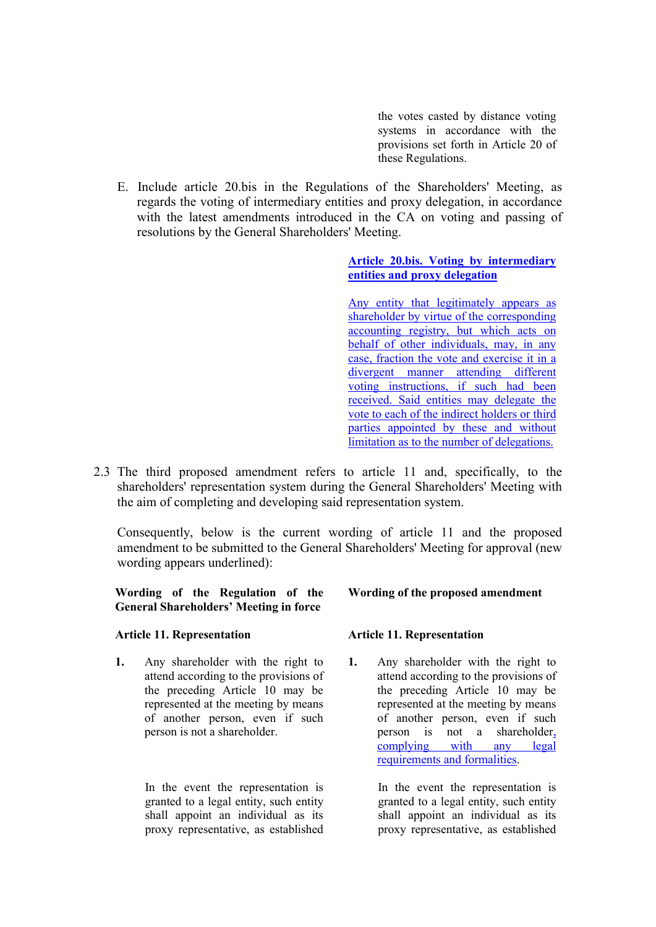the votes casted by distance voting systems in accordance with the provisions set forth in Article 20 of these Regulations.

E. Include article 20.bis in the Regulations of the Shareholders' Meeting, as regards the voting of intermediary entities and proxy delegation, in accordance with the latest amendments introduced in the CA on voting and passing of resolutions by the General Shareholders' Meeting.

#### **Article 20.bis. Voting by intermediary entities and proxy delegation**

Any entity that legitimately appears as shareholder by virtue of the corresponding accounting registry, but which acts on behalf of other individuals, may, in any case, fraction the vote and exercise it in a divergent manner attending different voting instructions, if such had been received. Said entities may delegate the vote to each of the indirect holders or third parties appointed by these and without limitation as to the number of delegations.

2.3 The third proposed amendment refers to article 11 and, specifically, to the shareholders' representation system during the General Shareholders' Meeting with the aim of completing and developing said representation system.

Consequently, below is the current wording of article 11 and the proposed amendment to be submitted to the General Shareholders' Meeting for approval (new wording appears underlined):

**Wording of the Regulation of the General Shareholders' Meeting in force**

#### **Article 11. Representation**

**1.** Any shareholder with the right to attend according to the provisions of the preceding Article 10 may be represented at the meeting by means of another person, even if such person is not a shareholder.

> In the event the representation is granted to a legal entity, such entity shall appoint an individual as its proxy representative, as established

#### **Wording of the proposed amendment**

#### **Article 11. Representation**

**1.** Any shareholder with the right to attend according to the provisions of the preceding Article 10 may be represented at the meeting by means of another person, even if such person is not a shareholder,<br>complying with any legal complying with any legal requirements and formalities.

> In the event the representation is granted to a legal entity, such entity shall appoint an individual as its proxy representative, as established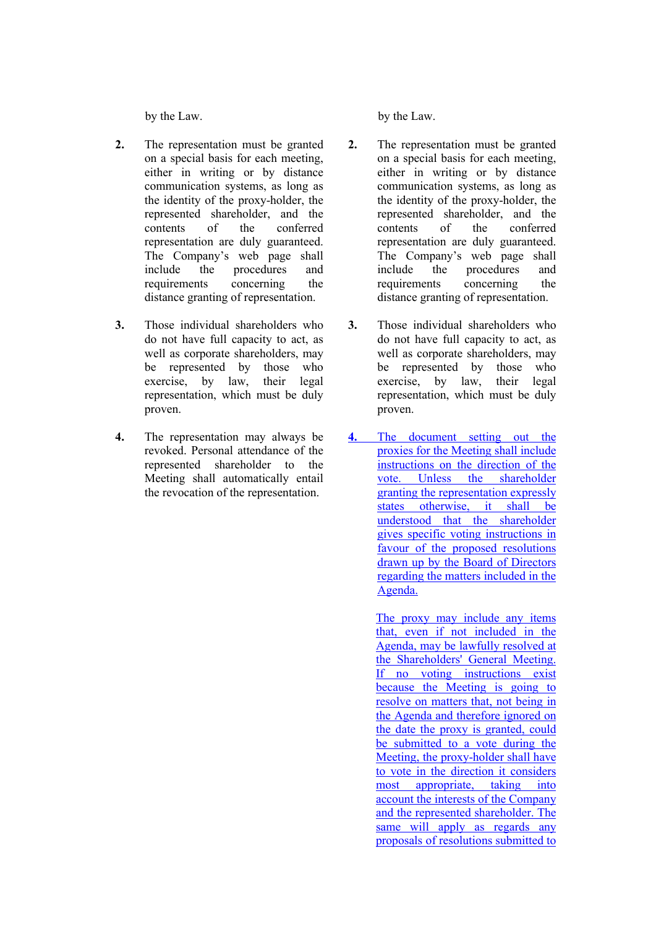by the Law.

- **2.** The representation must be granted on a special basis for each meeting, either in writing or by distance communication systems, as long as the identity of the proxy-holder, the represented shareholder, and the contents of the conferred representation are duly guaranteed. The Company's web page shall include the procedures and requirements concerning the distance granting of representation.
- **3.** Those individual shareholders who do not have full capacity to act, as well as corporate shareholders, may be represented by those who exercise, by law, their legal representation, which must be duly proven.
- **4.** The representation may always be revoked. Personal attendance of the represented shareholder to the Meeting shall automatically entail the revocation of the representation.

by the Law.

- **2.** The representation must be granted on a special basis for each meeting, either in writing or by distance communication systems, as long as the identity of the proxy-holder, the represented shareholder, and the contents of the conferred representation are duly guaranteed. The Company's web page shall include the procedures and requirements concerning the distance granting of representation.
- **3.** Those individual shareholders who do not have full capacity to act, as well as corporate shareholders, may be represented by those who exercise, by law, their legal representation, which must be duly proven.
- **4.** The document setting out the proxies for the Meeting shall include instructions on the direction of the vote. Unless the shareholder granting the representation expressly states otherwise, it shall be understood that the shareholder gives specific voting instructions in favour of the proposed resolutions drawn up by the Board of Directors regarding the matters included in the Agenda.

The proxy may include any items that, even if not included in the Agenda, may be lawfully resolved at the Shareholders' General Meeting. If no voting instructions exist because the Meeting is going to resolve on matters that, not being in the Agenda and therefore ignored on the date the proxy is granted, could be submitted to a vote during the Meeting, the proxy-holder shall have to vote in the direction it considers most appropriate, taking into account the interests of the Company and the represented shareholder. The same will apply as regards any proposals of resolutions submitted to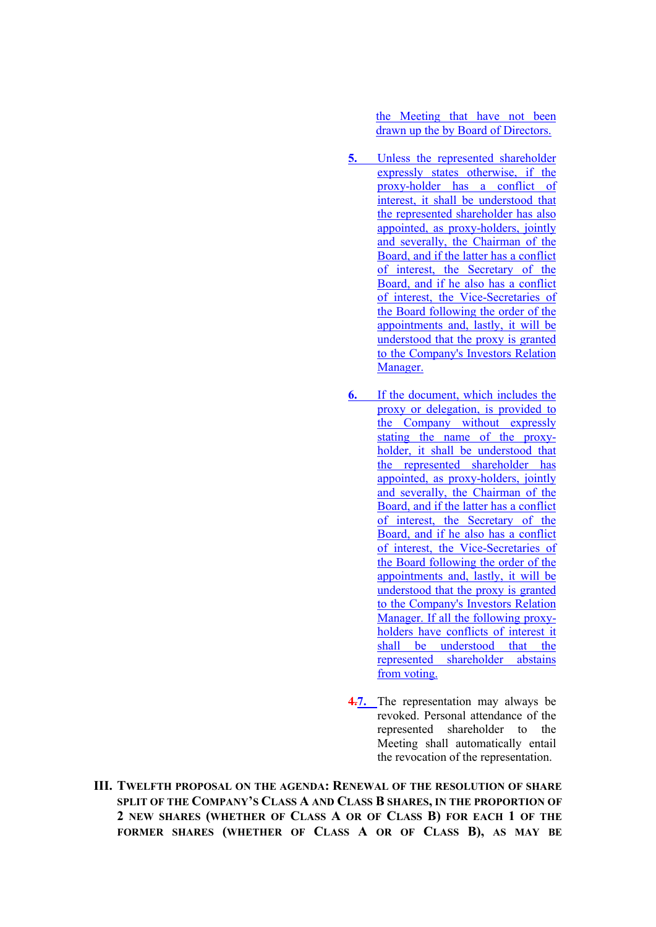the Meeting that have not been drawn up the by Board of Directors.

- **5.** Unless the represented shareholder expressly states otherwise, if the proxy-holder has a conflict of interest, it shall be understood that the represented shareholder has also appointed, as proxy-holders, jointly and severally, the Chairman of the Board, and if the latter has a conflict of interest, the Secretary of the Board, and if he also has a conflict of interest, the Vice-Secretaries of the Board following the order of the appointments and, lastly, it will be understood that the proxy is granted to the Company's Investors Relation Manager.
- **6.** If the document, which includes the proxy or delegation, is provided to the Company without expressly stating the name of the proxyholder, it shall be understood that the represented shareholder has appointed, as proxy-holders, jointly and severally, the Chairman of the Board, and if the latter has a conflict of interest, the Secretary of the Board, and if he also has a conflict of interest, the Vice-Secretaries of the Board following the order of the appointments and, lastly, it will be understood that the proxy is granted to the Company's Investors Relation Manager. If all the following proxyholders have conflicts of interest it shall be understood that the represented shareholder abstains from voting.
- **4.7.** The representation may always be revoked. Personal attendance of the represented shareholder to the Meeting shall automatically entail the revocation of the representation.
- **III. TWELFTH PROPOSAL ON THE AGENDA: RENEWAL OF THE RESOLUTION OF SHARE SPLIT OF THE COMPANY'S CLASS A AND CLASS B SHARES, IN THE PROPORTION OF 2 NEW SHARES (WHETHER OF CLASS A OR OF CLASS B) FOR EACH 1 OF THE FORMER SHARES (WHETHER OF CLASS A OR OF CLASS B), AS MAY BE**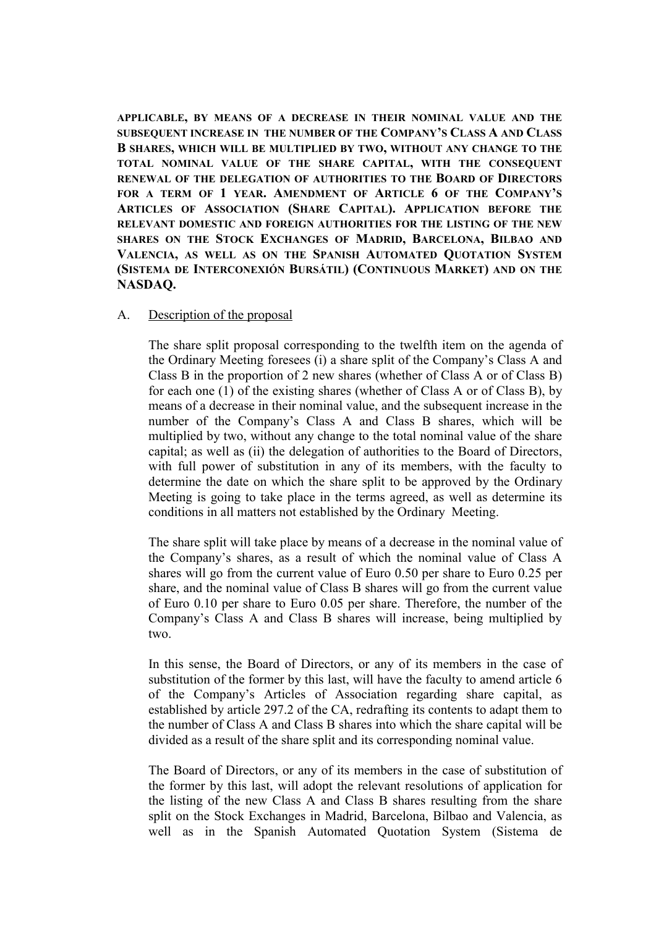**APPLICABLE, BY MEANS OF A DECREASE IN THEIR NOMINAL VALUE AND THE SUBSEQUENT INCREASE IN THE NUMBER OF THE COMPANY'S CLASS A AND CLASS B SHARES, WHICH WILL BE MULTIPLIED BY TWO, WITHOUT ANY CHANGE TO THE TOTAL NOMINAL VALUE OF THE SHARE CAPITAL, WITH THE CONSEQUENT RENEWAL OF THE DELEGATION OF AUTHORITIES TO THE BOARD OF DIRECTORS FOR A TERM OF 1 YEAR. AMENDMENT OF ARTICLE 6 OF THE COMPANY'S ARTICLES OF ASSOCIATION (SHARE CAPITAL). APPLICATION BEFORE THE RELEVANT DOMESTIC AND FOREIGN AUTHORITIES FOR THE LISTING OF THE NEW SHARES ON THE STOCK EXCHANGES OF MADRID, BARCELONA, BILBAO AND VALENCIA, AS WELL AS ON THE SPANISH AUTOMATED QUOTATION SYSTEM (SISTEMA DE INTERCONEXIÓN BURSÁTIL) (CONTINUOUS MARKET) AND ON THE NASDAQ.**

#### A. Description of the proposal

The share split proposal corresponding to the twelfth item on the agenda of the Ordinary Meeting foresees (i) a share split of the Company's Class A and Class B in the proportion of 2 new shares (whether of Class A or of Class B) for each one (1) of the existing shares (whether of Class A or of Class B), by means of a decrease in their nominal value, and the subsequent increase in the number of the Company's Class A and Class B shares, which will be multiplied by two, without any change to the total nominal value of the share capital; as well as (ii) the delegation of authorities to the Board of Directors, with full power of substitution in any of its members, with the faculty to determine the date on which the share split to be approved by the Ordinary Meeting is going to take place in the terms agreed, as well as determine its conditions in all matters not established by the Ordinary Meeting.

The share split will take place by means of a decrease in the nominal value of the Company's shares, as a result of which the nominal value of Class A shares will go from the current value of Euro 0.50 per share to Euro 0.25 per share, and the nominal value of Class B shares will go from the current value of Euro 0.10 per share to Euro 0.05 per share. Therefore, the number of the Company's Class A and Class B shares will increase, being multiplied by two.

In this sense, the Board of Directors, or any of its members in the case of substitution of the former by this last, will have the faculty to amend article 6 of the Company's Articles of Association regarding share capital, as established by article 297.2 of the CA, redrafting its contents to adapt them to the number of Class A and Class B shares into which the share capital will be divided as a result of the share split and its corresponding nominal value.

The Board of Directors, or any of its members in the case of substitution of the former by this last, will adopt the relevant resolutions of application for the listing of the new Class A and Class B shares resulting from the share split on the Stock Exchanges in Madrid, Barcelona, Bilbao and Valencia, as well as in the Spanish Automated Quotation System (Sistema de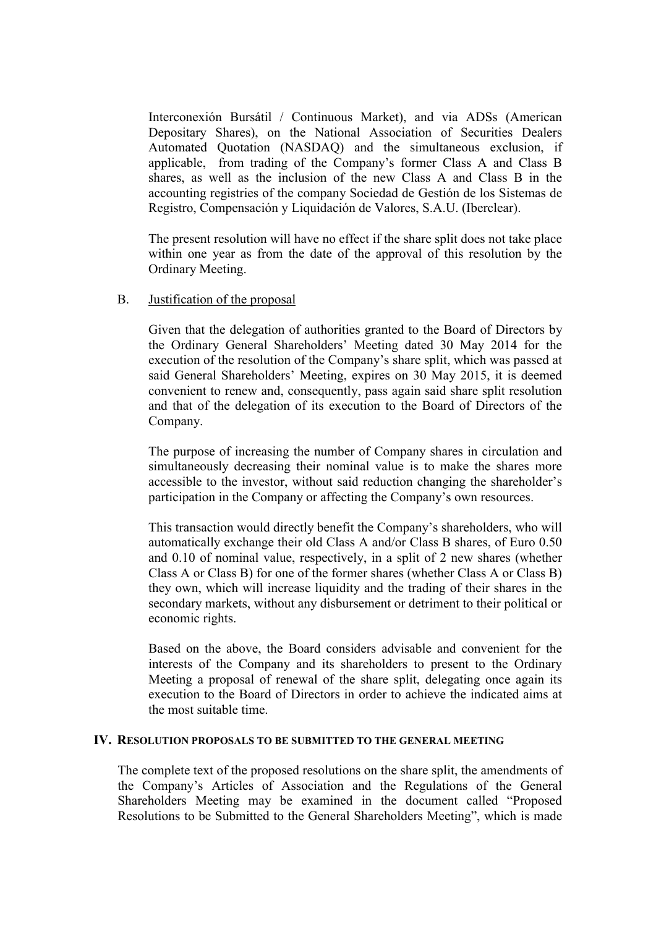Interconexión Bursátil / Continuous Market), and via ADSs (American Depositary Shares), on the National Association of Securities Dealers Automated Quotation (NASDAQ) and the simultaneous exclusion, if applicable, from trading of the Company's former Class A and Class B shares, as well as the inclusion of the new Class A and Class B in the accounting registries of the company Sociedad de Gestión de los Sistemas de Registro, Compensación y Liquidación de Valores, S.A.U. (Iberclear).

The present resolution will have no effect if the share split does not take place within one year as from the date of the approval of this resolution by the Ordinary Meeting.

#### B. Justification of the proposal

Given that the delegation of authorities granted to the Board of Directors by the Ordinary General Shareholders' Meeting dated 30 May 2014 for the execution of the resolution of the Company's share split, which was passed at said General Shareholders' Meeting, expires on 30 May 2015, it is deemed convenient to renew and, consequently, pass again said share split resolution and that of the delegation of its execution to the Board of Directors of the Company.

The purpose of increasing the number of Company shares in circulation and simultaneously decreasing their nominal value is to make the shares more accessible to the investor, without said reduction changing the shareholder's participation in the Company or affecting the Company's own resources.

This transaction would directly benefit the Company's shareholders, who will automatically exchange their old Class A and/or Class B shares, of Euro 0.50 and 0.10 of nominal value, respectively, in a split of 2 new shares (whether Class A or Class B) for one of the former shares (whether Class A or Class B) they own, which will increase liquidity and the trading of their shares in the secondary markets, without any disbursement or detriment to their political or economic rights.

Based on the above, the Board considers advisable and convenient for the interests of the Company and its shareholders to present to the Ordinary Meeting a proposal of renewal of the share split, delegating once again its execution to the Board of Directors in order to achieve the indicated aims at the most suitable time.

#### **IV. RESOLUTION PROPOSALS TO BE SUBMITTED TO THE GENERAL MEETING**

The complete text of the proposed resolutions on the share split, the amendments of the Company's Articles of Association and the Regulations of the General Shareholders Meeting may be examined in the document called "Proposed Resolutions to be Submitted to the General Shareholders Meeting", which is made